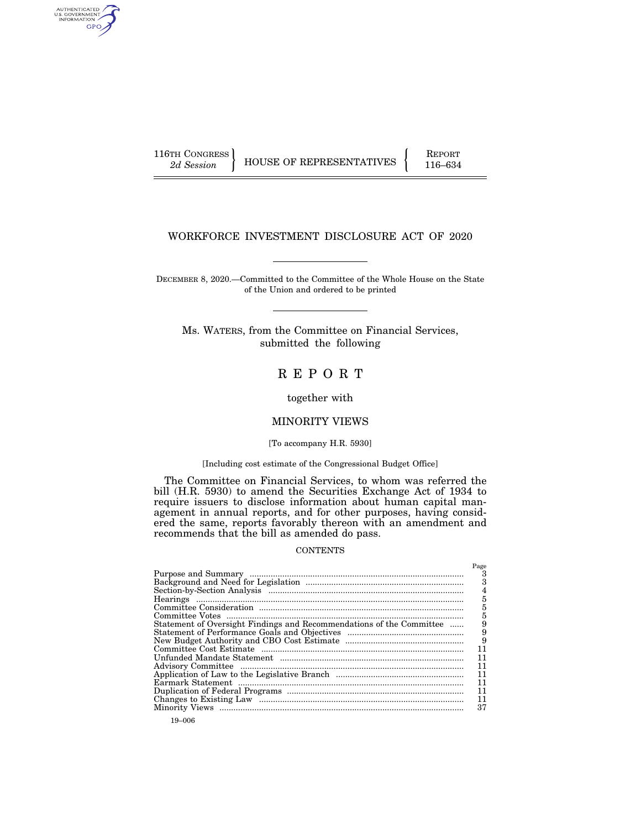AUTHENTICATED<br>U.S. GOVERNMENT<br>INFORMATION GPO

116TH CONGRESS HOUSE OF REPRESENTATIVES FEPORT 116–634

## WORKFORCE INVESTMENT DISCLOSURE ACT OF 2020

DECEMBER 8, 2020.—Committed to the Committee of the Whole House on the State of the Union and ordered to be printed

Ms. WATERS, from the Committee on Financial Services, submitted the following

# R E P O R T

together with

## MINORITY VIEWS

## [To accompany H.R. 5930]

#### [Including cost estimate of the Congressional Budget Office]

The Committee on Financial Services, to whom was referred the bill (H.R. 5930) to amend the Securities Exchange Act of 1934 to require issuers to disclose information about human capital management in annual reports, and for other purposes, having considered the same, reports favorably thereon with an amendment and recommends that the bill as amended do pass.

#### **CONTENTS**

|                                                                      | Page |
|----------------------------------------------------------------------|------|
|                                                                      | з    |
|                                                                      | 3    |
|                                                                      | 4    |
|                                                                      | 5    |
|                                                                      | 5    |
|                                                                      | 5    |
| Statement of Oversight Findings and Recommendations of the Committee |      |
|                                                                      | 9    |
|                                                                      | 9    |
|                                                                      | 11   |
|                                                                      | 11   |
|                                                                      | 11   |
|                                                                      | 11   |
|                                                                      | 11   |
|                                                                      | 11   |
|                                                                      | 11   |
|                                                                      | 37   |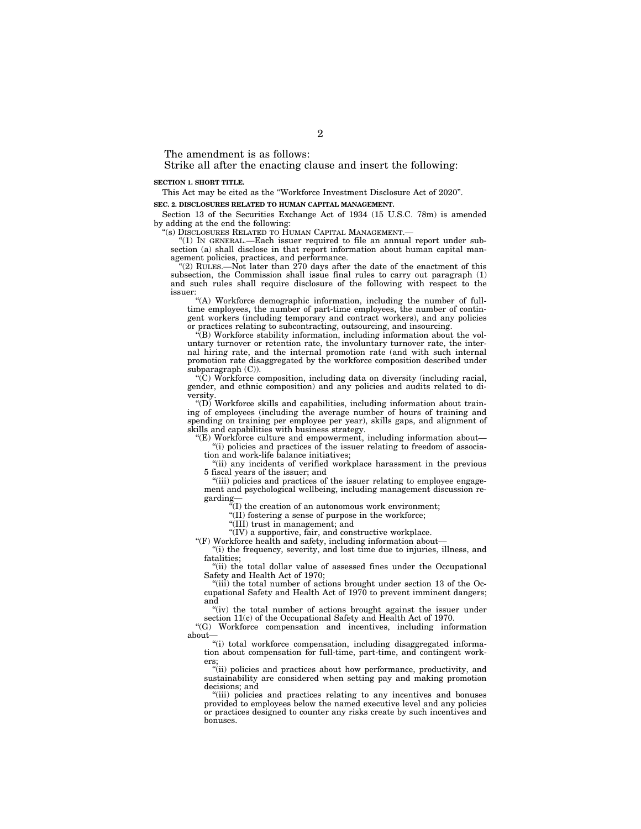The amendment is as follows:

Strike all after the enacting clause and insert the following:

#### **SECTION 1. SHORT TITLE.**

This Act may be cited as the ''Workforce Investment Disclosure Act of 2020''.

**SEC. 2. DISCLOSURES RELATED TO HUMAN CAPITAL MANAGEMENT.** 

Section 13 of the Securities Exchange Act of 1934 (15 U.S.C. 78m) is amended by adding at the end the following:

''(s) DISCLOSURES RELATED TO HUMAN CAPITAL MANAGEMENT.—

''(1) IN GENERAL.—Each issuer required to file an annual report under subsection (a) shall disclose in that report information about human capital management policies, practices, and performance.

"(2) RULES.—Not later than  $270$  days after the date of the enactment of this subsection, the Commission shall issue final rules to carry out paragraph (1) and such rules shall require disclosure of the following with respect to the issuer:

''(A) Workforce demographic information, including the number of fulltime employees, the number of part-time employees, the number of contingent workers (including temporary and contract workers), and any policies or practices relating to subcontracting, outsourcing, and insourcing.

''(B) Workforce stability information, including information about the voluntary turnover or retention rate, the involuntary turnover rate, the internal hiring rate, and the internal promotion rate (and with such internal promotion rate disaggregated by the workforce composition described under subparagraph  $(C)$ ).

''(C) Workforce composition, including data on diversity (including racial, gender, and ethnic composition) and any policies and audits related to diversity.

"(D) Workforce skills and capabilities, including information about training of employees (including the average number of hours of training and spending on training per employee per year), skills gaps, and alignment of skills and capabilities with business strategy.

''(E) Workforce culture and empowerment, including information about— "(i) policies and practices of the issuer relating to freedom of association and work-life balance initiatives;

''(ii) any incidents of verified workplace harassment in the previous 5 fiscal years of the issuer; and

''(iii) policies and practices of the issuer relating to employee engagement and psychological wellbeing, including management discussion regarding—

''(I) the creation of an autonomous work environment;

''(II) fostering a sense of purpose in the workforce;

''(III) trust in management; and

''(IV) a supportive, fair, and constructive workplace.

"(F) Workforce health and safety, including information about-

"(i) the frequency, severity, and lost time due to injuries, illness, and fatalities;

"(ii) the total dollar value of assessed fines under the Occupational Safety and Health Act of 1970;

" $(iii)$  the total number of actions brought under section 13 of the Occupational Safety and Health Act of 1970 to prevent imminent dangers; and

"(iv) the total number of actions brought against the issuer under section 11(c) of the Occupational Safety and Health Act of 1970.

''(G) Workforce compensation and incentives, including information about—

''(i) total workforce compensation, including disaggregated information about compensation for full-time, part-time, and contingent workers;

''(ii) policies and practices about how performance, productivity, and sustainability are considered when setting pay and making promotion decisions; and

"(iii) policies and practices relating to any incentives and bonuses provided to employees below the named executive level and any policies or practices designed to counter any risks create by such incentives and bonuses.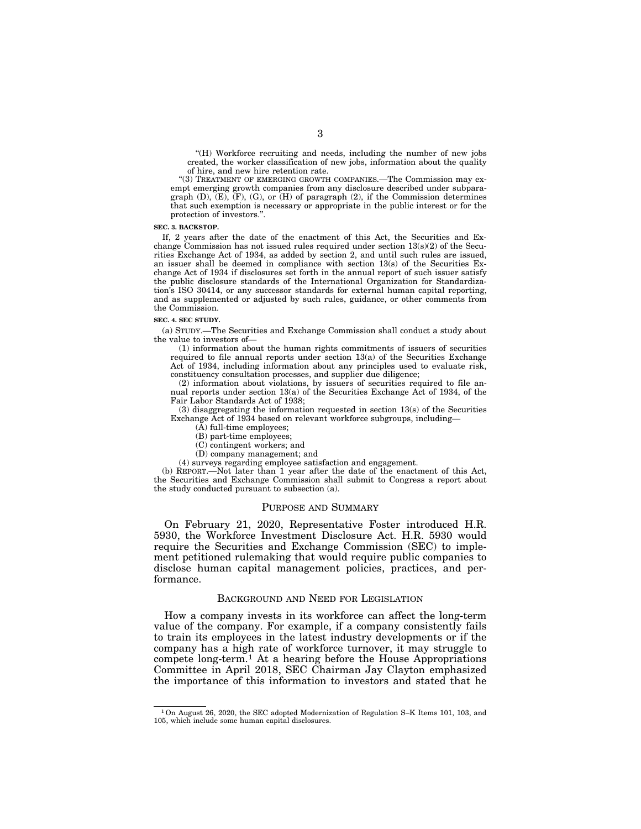"(H) Workforce recruiting and needs, including the number of new jobs created, the worker classification of new jobs, information about the quality of hire, and new hire retention rate.

''(3) TREATMENT OF EMERGING GROWTH COMPANIES.—The Commission may exempt emerging growth companies from any disclosure described under subparagraph  $(D)$ ,  $(E)$ ,  $(F)$ ,  $(G)$ , or  $(H)$  of paragraph  $(2)$ , if the Commission determines that such exemption is necessary or appropriate in the public interest or for the protection of investors.''.

#### **SEC. 3. BACKSTOP.**

If, 2 years after the date of the enactment of this Act, the Securities and Exchange Commission has not issued rules required under section  $13(s)(2)$  of the Securities Exchange Act of 1934, as added by section 2, and until such rules are issued, an issuer shall be deemed in compliance with section 13(s) of the Securities Exchange Act of 1934 if disclosures set forth in the annual report of such issuer satisfy the public disclosure standards of the International Organization for Standardization's ISO 30414, or any successor standards for external human capital reporting, and as supplemented or adjusted by such rules, guidance, or other comments from the Commission.

#### **SEC. 4. SEC STUDY.**

(a) STUDY.—The Securities and Exchange Commission shall conduct a study about the value to investors of—

(1) information about the human rights commitments of issuers of securities required to file annual reports under section 13(a) of the Securities Exchange Act of 1934, including information about any principles used to evaluate risk, constituency consultation processes, and supplier due diligence;

(2) information about violations, by issuers of securities required to file annual reports under section 13(a) of the Securities Exchange Act of 1934, of the Fair Labor Standards Act of 1938;

(3) disaggregating the information requested in section 13(s) of the Securities Exchange Act of 1934 based on relevant workforce subgroups, including—

(A) full-time employees;

(B) part-time employees;

(C) contingent workers; and

(D) company management; and

(4) surveys regarding employee satisfaction and engagement.

(b) REPORT.—Not later than 1 year after the date of the enactment of this Act, the Securities and Exchange Commission shall submit to Congress a report about the study conducted pursuant to subsection (a).

#### PURPOSE AND SUMMARY

On February 21, 2020, Representative Foster introduced H.R. 5930, the Workforce Investment Disclosure Act. H.R. 5930 would require the Securities and Exchange Commission (SEC) to implement petitioned rulemaking that would require public companies to disclose human capital management policies, practices, and performance.

### BACKGROUND AND NEED FOR LEGISLATION

How a company invests in its workforce can affect the long-term value of the company. For example, if a company consistently fails to train its employees in the latest industry developments or if the company has a high rate of workforce turnover, it may struggle to compete long-term.1 At a hearing before the House Appropriations Committee in April 2018, SEC Chairman Jay Clayton emphasized the importance of this information to investors and stated that he

<sup>1</sup>On August 26, 2020, the SEC adopted Modernization of Regulation S–K Items 101, 103, and 105, which include some human capital disclosures.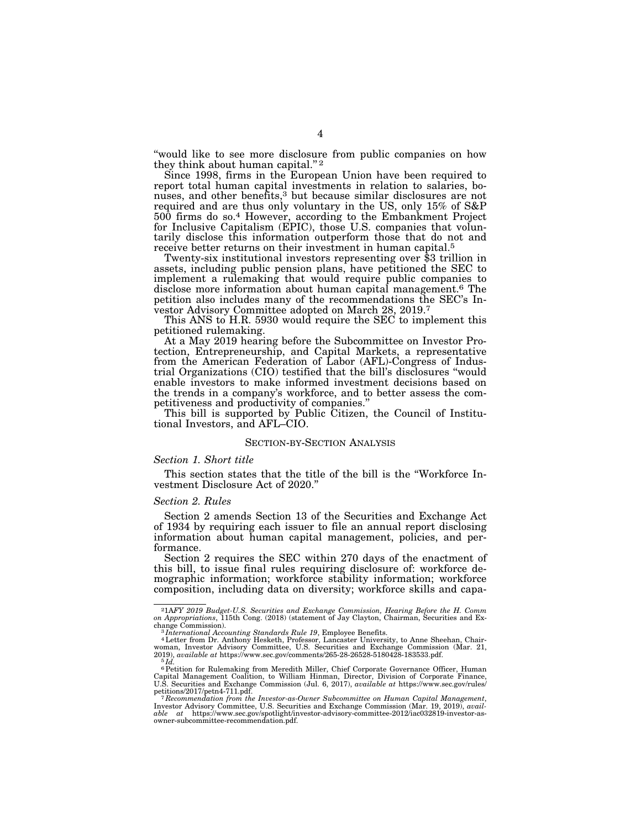''would like to see more disclosure from public companies on how they think about human capital."<sup>2</sup>

Since 1998, firms in the European Union have been required to report total human capital investments in relation to salaries, bonuses, and other benefits,3 but because similar disclosures are not required and are thus only voluntary in the US, only 15% of S&P 500 firms do so.4 However, according to the Embankment Project for Inclusive Capitalism (EPIC), those U.S. companies that voluntarily disclose this information outperform those that do not and receive better returns on their investment in human capital.<sup>5</sup>

Twenty-six institutional investors representing over \$3 trillion in assets, including public pension plans, have petitioned the SEC to implement a rulemaking that would require public companies to disclose more information about human capital management.<sup>6</sup> The petition also includes many of the recommendations the SEC's Investor Advisory Committee adopted on March 28, 2019.7

This ANS to H.R. 5930 would require the SEC to implement this petitioned rulemaking.

At a May 2019 hearing before the Subcommittee on Investor Protection, Entrepreneurship, and Capital Markets, a representative from the American Federation of Labor (AFL)-Congress of Industrial Organizations (CIO) testified that the bill's disclosures ''would enable investors to make informed investment decisions based on the trends in a company's workforce, and to better assess the competitiveness and productivity of companies.''

This bill is supported by Public Citizen, the Council of Institutional Investors, and AFL–CIO.

### SECTION-BY-SECTION ANALYSIS

#### *Section 1. Short title*

This section states that the title of the bill is the ''Workforce Investment Disclosure Act of 2020.''

#### *Section 2. Rules*

Section 2 amends Section 13 of the Securities and Exchange Act of 1934 by requiring each issuer to file an annual report disclosing information about human capital management, policies, and performance.

Section 2 requires the SEC within 270 days of the enactment of this bill, to issue final rules requiring disclosure of: workforce demographic information; workforce stability information; workforce composition, including data on diversity; workforce skills and capa-

<sup>21</sup>A*FY 2019 Budget-U.S. Securities and Exchange Commission, Hearing Before the H. Comm on Appropriations*, 115th Cong. (2018) (statement of Jay Clayton, Chairman, Securities and Ex-

change Commission).<br><sup>3</sup> International Accounting Standards Rule 19, Employee Benefits.<br><sup>4</sup> Letter from Dr. Anthony Hesketh, Professor, Lancaster University, to Anne Sheehan, Chairwoman, Investor Advisory Committee, U.S. Se

<sup>6</sup>Petition for Rulemaking from Meredith Miller, Chief Corporate Governance Officer, Human Capital Management Coalition, to William Hinman, Director, Division of Corporate Finance, U.S. Securities and Exchange Commission (Jul. 6, 2017), *available at* https://www.sec.gov/rules/<br>petitions/2017/petn4-711.pdf.<br><sup>7</sup> Recommendation from the Investor-as-Owner Subcommittee on Human Capital Management,

Investor Advisory Committee, U.S. Securities and Exchange Commission (Mar. 19, 2019), *avail-*<br>able at https://www.sec.gov/spotlight/investor-advisory-committee-2012/iac032819-investor-as-<br>owner-subcommittee-recommenda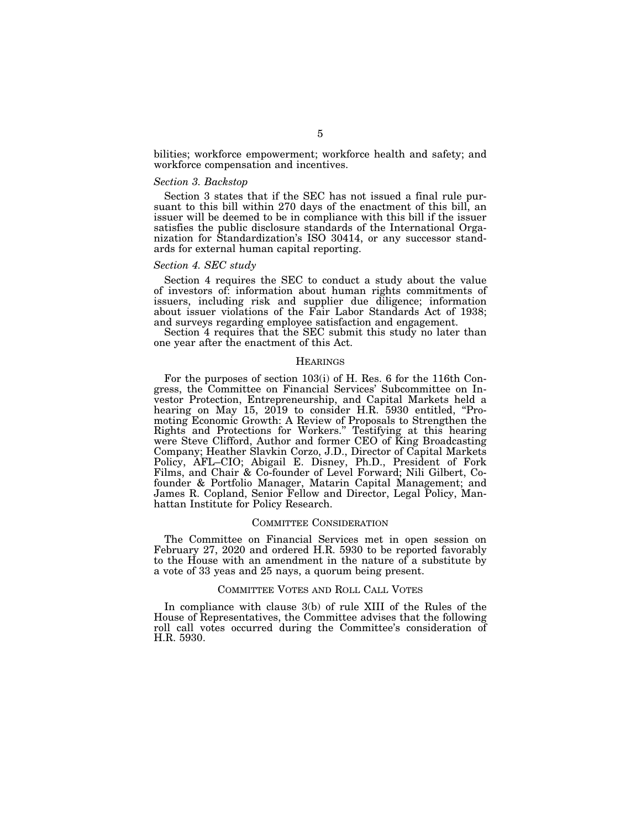bilities; workforce empowerment; workforce health and safety; and workforce compensation and incentives.

#### *Section 3. Backstop*

Section 3 states that if the SEC has not issued a final rule pursuant to this bill within 270 days of the enactment of this bill, an issuer will be deemed to be in compliance with this bill if the issuer satisfies the public disclosure standards of the International Organization for Standardization's ISO 30414, or any successor standards for external human capital reporting.

#### *Section 4. SEC study*

Section 4 requires the SEC to conduct a study about the value of investors of: information about human rights commitments of issuers, including risk and supplier due diligence; information about issuer violations of the Fair Labor Standards Act of 1938; and surveys regarding employee satisfaction and engagement.

Section 4 requires that the SEC submit this study no later than one year after the enactment of this Act.

### **HEARINGS**

For the purposes of section 103(i) of H. Res. 6 for the 116th Congress, the Committee on Financial Services' Subcommittee on Investor Protection, Entrepreneurship, and Capital Markets held a hearing on May 15, 2019 to consider H.R. 5930 entitled, "Promoting Economic Growth: A Review of Proposals to Strengthen the Rights and Protections for Workers.'' Testifying at this hearing were Steve Clifford, Author and former CEO of King Broadcasting Company; Heather Slavkin Corzo, J.D., Director of Capital Markets Policy, AFL–CIO; Abigail E. Disney, Ph.D., President of Fork Films, and Chair & Co-founder of Level Forward; Nili Gilbert, Cofounder & Portfolio Manager, Matarin Capital Management; and James R. Copland, Senior Fellow and Director, Legal Policy, Manhattan Institute for Policy Research.

## COMMITTEE CONSIDERATION

The Committee on Financial Services met in open session on February 27, 2020 and ordered H.R. 5930 to be reported favorably to the House with an amendment in the nature of a substitute by a vote of 33 yeas and 25 nays, a quorum being present.

### COMMITTEE VOTES AND ROLL CALL VOTES

In compliance with clause 3(b) of rule XIII of the Rules of the House of Representatives, the Committee advises that the following roll call votes occurred during the Committee's consideration of H.R. 5930.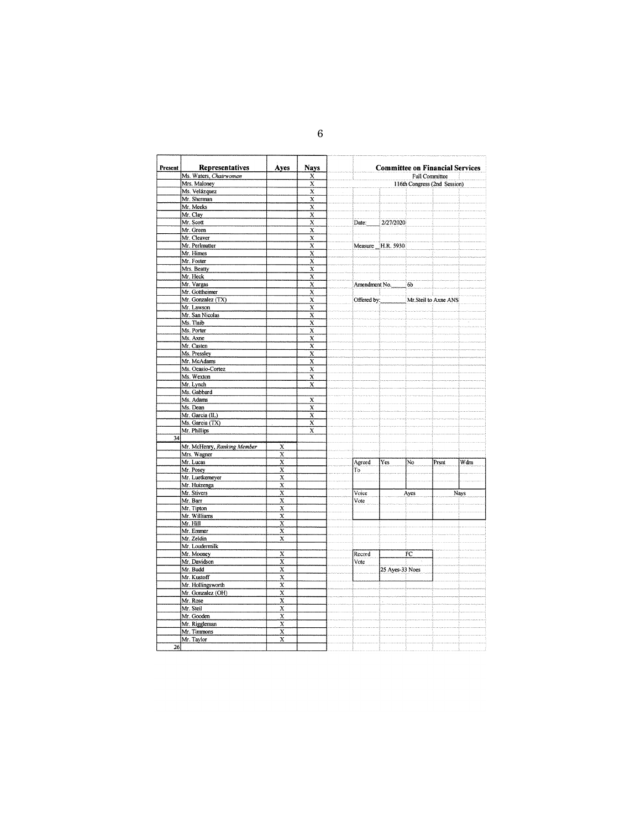| Present | Representatives             | Ayes                    | <b>Nays</b>             | <b>Committee on Financial Services</b> |                 |                       |                              |      |
|---------|-----------------------------|-------------------------|-------------------------|----------------------------------------|-----------------|-----------------------|------------------------------|------|
|         | Ms. Waters, Chairwoman      |                         | X                       |                                        |                 | <b>Full Committee</b> |                              |      |
|         | Mrs. Maloney                |                         | X                       |                                        |                 |                       | 116th Congress (2nd Session) |      |
|         | Ms. Velázquez               |                         | X                       |                                        |                 |                       |                              |      |
|         | Mr. Sherman                 |                         | X                       |                                        |                 |                       |                              |      |
|         | Mr. Meeks                   |                         | X                       |                                        |                 |                       |                              |      |
|         | Mr. Clay                    |                         | X                       |                                        |                 |                       |                              |      |
|         | Mr. Scott                   |                         | x                       | Date:                                  | 2/27/2020       |                       |                              |      |
|         | Mr. Green                   |                         | X                       |                                        |                 |                       |                              |      |
|         | Mr. Cleaver                 |                         | X                       |                                        |                 |                       |                              |      |
|         | Mr. Perlmutter              |                         | x                       | Measure                                | H.R. 5930       |                       |                              |      |
|         | Mr. Himes                   |                         | X                       |                                        |                 |                       |                              |      |
|         | Mr. Foster                  |                         | X                       |                                        |                 |                       |                              |      |
|         | Mrs. Beatty                 |                         | X                       |                                        |                 |                       |                              |      |
|         | Mr. Heck                    |                         | X                       |                                        |                 |                       |                              |      |
|         | Mr. Vargas                  |                         | X                       |                                        |                 |                       |                              |      |
|         |                             |                         |                         | Amendment No.                          |                 | 6b                    |                              |      |
|         | Mr. Gottheimer              |                         | X                       |                                        |                 |                       |                              |      |
|         | Mr. Gonzalez (TX)           |                         | X                       | Offered by:                            |                 |                       | Mr.Steil to Axne ANS         |      |
|         | Mr. Lawson                  |                         | X                       |                                        |                 |                       |                              |      |
|         | Mr. San Nicolas             |                         | X                       |                                        |                 |                       |                              |      |
|         | Ms. Tlaib                   |                         | X                       |                                        |                 |                       |                              |      |
|         | Ms. Porter                  |                         | X                       |                                        |                 |                       |                              |      |
|         | Ms. Axne                    |                         | X                       |                                        |                 |                       |                              |      |
|         | Mr. Casten                  |                         | X                       |                                        |                 |                       |                              |      |
|         | Ms. Presslev                |                         | X                       |                                        |                 |                       |                              |      |
|         | Mr. McAdams                 |                         | X                       |                                        |                 |                       |                              |      |
|         | Ms. Ocasio-Cortez           |                         | X                       |                                        |                 |                       |                              |      |
|         | Ms. Wexton                  |                         | $\overline{\mathbf{x}}$ |                                        |                 |                       |                              |      |
|         | Mr. Lynch                   |                         | X                       |                                        |                 |                       |                              |      |
|         | Ms. Gabbard                 |                         |                         |                                        |                 |                       |                              |      |
|         | Ms. Adams                   |                         | X                       |                                        |                 |                       |                              |      |
|         | Ms. Dean                    |                         | X                       |                                        |                 |                       |                              |      |
|         |                             |                         |                         |                                        |                 |                       |                              |      |
|         | Mr. Garcia (IL)             |                         | X                       |                                        |                 |                       |                              |      |
|         | Ms. Garcia (TX)             |                         | X                       |                                        |                 |                       |                              |      |
|         | Mr. Phillips                |                         | X                       |                                        |                 |                       |                              |      |
| 34      |                             |                         |                         |                                        |                 |                       |                              |      |
|         | Mr. McHenry, Ranking Member | X                       |                         |                                        |                 |                       |                              |      |
|         | Mrs. Wagner                 | X                       |                         |                                        |                 |                       |                              |      |
|         | Mr. Lucas                   | $\overline{\mathbf{x}}$ |                         | Agreed                                 | Yes             | No                    | Prsnt                        | Wdrn |
|         | Mr. Posey                   | X                       |                         | Тo                                     |                 |                       |                              |      |
|         | Mr. Luetkemeyer             | X                       |                         |                                        |                 |                       |                              |      |
|         | Mr. Huizenga                | X                       |                         |                                        |                 |                       |                              |      |
|         | Mr. Stivers                 | X                       |                         | Voice                                  |                 | Ayes                  |                              | Nays |
|         | Mr. Barr                    | X                       |                         | Vote                                   |                 |                       |                              |      |
|         | Mr. Tipton                  | X                       |                         |                                        |                 |                       |                              |      |
|         | Mr. Williams                | X                       |                         |                                        |                 |                       |                              |      |
|         | Mr. Hill                    | x                       |                         |                                        |                 |                       |                              |      |
|         | Mr. Emmer                   | X                       |                         |                                        |                 |                       |                              |      |
|         | Mr. Zeldin                  | X                       |                         |                                        |                 |                       |                              |      |
|         |                             |                         |                         |                                        |                 |                       |                              |      |
|         | Mr. Loudermilk              |                         |                         |                                        |                 |                       |                              |      |
|         | Mr. Mooney                  | X                       |                         | Record                                 |                 | FC                    |                              |      |
|         | Mr. Davidson                | X                       |                         | Vote                                   |                 |                       |                              |      |
|         | Mr. Budd                    | X                       |                         |                                        | 25 Ayes-33 Noes |                       |                              |      |
|         | Mr. Kustoff                 | X                       |                         |                                        |                 |                       |                              |      |
|         | Mr. Hollingsworth           | X                       |                         |                                        |                 |                       |                              |      |
|         | Mr. Gonzalez (OH)           | X                       |                         |                                        |                 |                       |                              |      |
|         | Mr. Rose                    | X                       |                         |                                        |                 |                       |                              |      |
|         | Mr. Steil                   | X                       |                         |                                        |                 |                       |                              |      |
|         | Mr. Gooden                  | X                       |                         |                                        |                 |                       |                              |      |
|         | Mr. Riggleman               | X                       |                         |                                        |                 |                       |                              |      |
|         | Mr. Timmons                 | X                       |                         |                                        |                 |                       |                              |      |
|         |                             |                         |                         |                                        |                 |                       |                              |      |
|         | Mr. Taylor                  | X                       |                         |                                        |                 |                       |                              |      |

6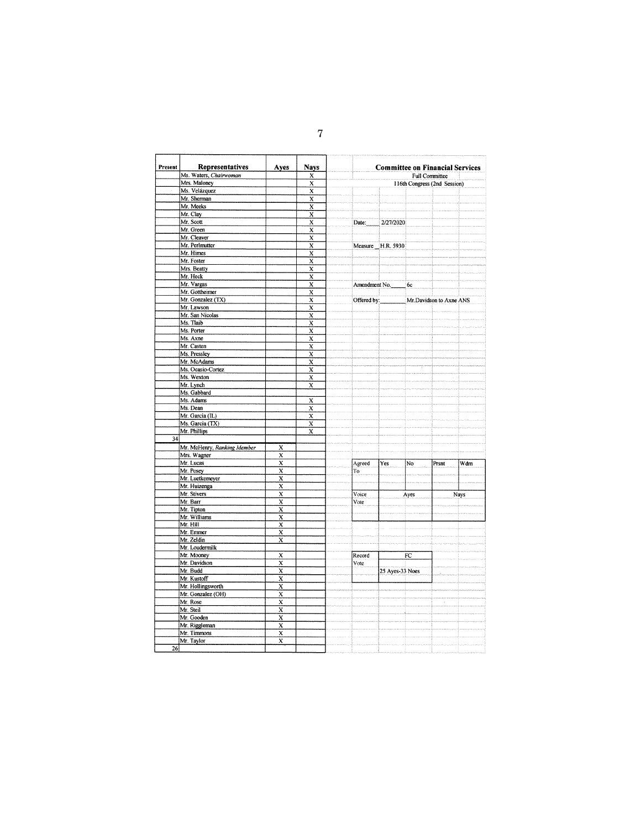| Present | Representatives<br>Ms. Waters, Chairwoman | Ayes                    | <b>Nays</b><br>X        |               | <b>Committee on Financial Services</b><br><b>Full Committee</b> |                 |                              |      |  |
|---------|-------------------------------------------|-------------------------|-------------------------|---------------|-----------------------------------------------------------------|-----------------|------------------------------|------|--|
|         | Mrs. Maloney                              |                         | X                       |               |                                                                 |                 |                              |      |  |
|         | Ms. Velázquez                             |                         | X                       |               |                                                                 |                 | 116th Congress (2nd Session) |      |  |
|         | Mr. Sherman                               |                         | X                       |               |                                                                 |                 |                              |      |  |
|         |                                           |                         |                         |               |                                                                 |                 |                              |      |  |
|         | Mr. Meeks                                 |                         | X                       |               |                                                                 |                 |                              |      |  |
|         | Mr. Clay                                  |                         | X                       |               |                                                                 |                 |                              |      |  |
|         | Mr. Scott                                 |                         | X                       | Date:         | 2/27/2020                                                       |                 |                              |      |  |
|         | Mr. Green                                 |                         | X                       |               |                                                                 |                 |                              |      |  |
|         | Mr. Cleaver                               |                         | X                       |               |                                                                 |                 |                              |      |  |
|         | Mr. Perlmutter                            |                         | X                       | Measure       | H.R. 5930                                                       |                 |                              |      |  |
|         | Mr. Himes                                 |                         | X                       |               |                                                                 |                 |                              |      |  |
|         | Mr. Foster                                |                         | $\overline{\mathbf{x}}$ |               |                                                                 |                 |                              |      |  |
|         | Mrs. Beatty                               |                         | X                       |               |                                                                 |                 |                              |      |  |
|         | Mr. Heck                                  |                         | X                       |               |                                                                 |                 |                              |      |  |
|         | Mr. Vargas                                |                         | $\overline{\mathbf{x}}$ | Amendment No. |                                                                 | 6c              |                              |      |  |
|         | Mr. Gottheimer                            |                         | X                       |               |                                                                 |                 |                              |      |  |
|         | Mr. Gonzalez (TX)                         |                         | X                       | Offered by:   |                                                                 |                 | Mr.Davidson to Axne ANS      |      |  |
|         | Mr. Lawson                                |                         | X                       |               |                                                                 |                 |                              |      |  |
|         | Mr. San Nicolas                           |                         | X                       |               |                                                                 |                 |                              |      |  |
|         | Ms. Tlaib                                 |                         | X                       |               |                                                                 |                 |                              |      |  |
|         | Ms. Porter                                |                         | X                       |               |                                                                 |                 |                              |      |  |
|         |                                           |                         |                         |               |                                                                 |                 |                              |      |  |
|         | Ms. Axne                                  |                         | X                       |               |                                                                 |                 |                              |      |  |
|         | Mr. Casten                                |                         | X                       |               |                                                                 |                 |                              |      |  |
|         | Ms. Pressley                              |                         | X                       |               |                                                                 |                 |                              |      |  |
|         | Mr. McAdams                               |                         | X                       |               |                                                                 |                 |                              |      |  |
|         | Ms. Ocasio-Cortez                         |                         | $\bar{\mathbf{x}}$      |               |                                                                 |                 |                              |      |  |
|         | Ms. Wexton                                |                         | X                       |               |                                                                 |                 |                              |      |  |
|         | Mr. Lynch                                 |                         | X                       |               |                                                                 |                 |                              |      |  |
|         | Ms. Gabbard                               |                         |                         |               |                                                                 |                 |                              |      |  |
|         | Ms. Adams                                 |                         | X                       |               |                                                                 |                 |                              |      |  |
|         | Ms. Dean                                  |                         | X                       |               |                                                                 |                 |                              |      |  |
|         | Mr. Garcia (IL)                           |                         | X                       |               |                                                                 |                 |                              |      |  |
|         | Ms. Garcia (TX)                           |                         | $\overline{\mathbf{x}}$ |               |                                                                 |                 |                              |      |  |
|         | Mr. Phillips                              |                         | X                       |               |                                                                 |                 |                              |      |  |
| 34      |                                           |                         |                         |               |                                                                 |                 |                              |      |  |
|         |                                           |                         |                         |               |                                                                 |                 |                              |      |  |
|         | Mr. McHenry, Ranking Member               | X                       |                         |               |                                                                 |                 |                              |      |  |
|         | Mrs. Wagner                               | X                       |                         |               |                                                                 |                 |                              |      |  |
|         | Mr. Lucas                                 | X                       |                         | Agreed        | Yes                                                             | No              | Prsnt                        | Wdrn |  |
|         | Mr. Posey                                 | X                       |                         | To            |                                                                 |                 |                              |      |  |
|         | Mr. Luetkemeyer                           | x                       |                         |               |                                                                 |                 |                              |      |  |
|         | Mr. Huizenga                              | X                       |                         |               |                                                                 |                 |                              |      |  |
|         | Mr. Stivers                               | X                       |                         | Voice         |                                                                 | Ayes            |                              | Nays |  |
|         | Mr. Barr                                  | X                       |                         | Vote          |                                                                 |                 |                              |      |  |
|         |                                           |                         |                         |               |                                                                 |                 |                              |      |  |
|         | Mr. Tipton                                | $\overline{\mathbf{x}}$ |                         |               |                                                                 |                 |                              |      |  |
|         | Mr. Williams                              | X                       |                         |               |                                                                 |                 |                              |      |  |
|         | Mr. Hill                                  | X                       |                         |               |                                                                 |                 |                              |      |  |
|         |                                           |                         |                         |               |                                                                 |                 |                              |      |  |
|         | Mr. Emmer                                 | $\overline{\mathbf{x}}$ |                         |               |                                                                 |                 |                              |      |  |
|         | Mr. Zeldin                                | $\overline{\mathbf{x}}$ |                         |               |                                                                 |                 |                              |      |  |
|         | Mr. Loudermilk                            |                         |                         |               |                                                                 |                 |                              |      |  |
|         | Mr. Mooney                                | X                       |                         | Record        |                                                                 | $\overline{FC}$ |                              |      |  |
|         | Mr. Davidson                              | X                       |                         | Vote          |                                                                 |                 |                              |      |  |
|         | Mr. Budd                                  | X                       |                         |               | 25 Ayes 33 Noes                                                 |                 |                              |      |  |
|         | Mr. Kustoff                               | $\overline{\mathbf{x}}$ |                         |               |                                                                 |                 |                              |      |  |
|         | Mr. Hollingsworth                         | X                       |                         |               |                                                                 |                 |                              |      |  |
|         | Mr. Gonzalez (OH)                         | X                       |                         |               |                                                                 |                 |                              |      |  |
|         | Mr. Rose                                  | $\overline{\mathbf{x}}$ |                         |               |                                                                 |                 |                              |      |  |
|         | Mr. Steil                                 | X                       |                         |               |                                                                 |                 |                              |      |  |
|         | Mr. Gooden                                | x                       |                         |               |                                                                 |                 |                              |      |  |
|         | Mr. Riggleman                             | X                       |                         |               |                                                                 |                 |                              |      |  |
|         | Mr. Timmons                               | X                       |                         |               |                                                                 |                 |                              |      |  |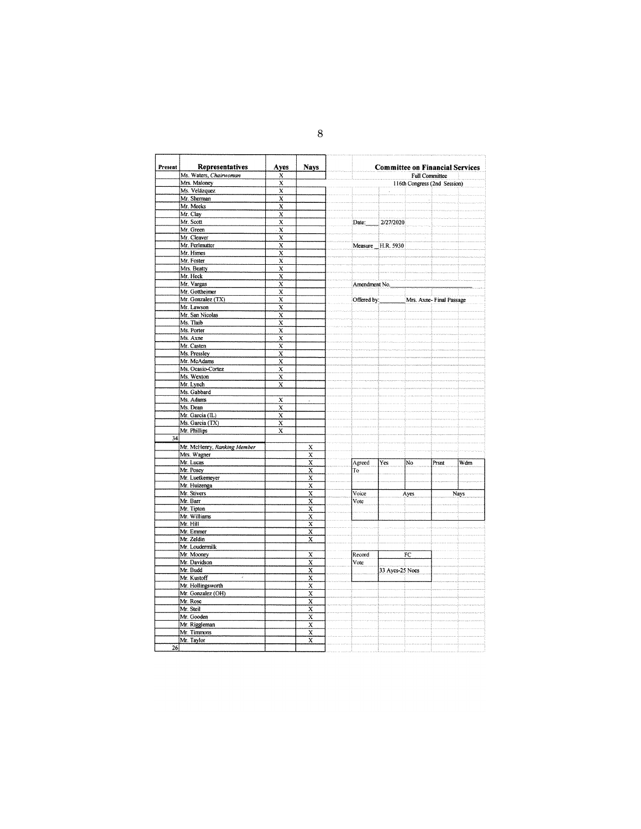| Present | Representatives             | Ayes                    | <b>Nays</b>             | <b>Committee on Financial Services</b> |                   |                              |       |      |
|---------|-----------------------------|-------------------------|-------------------------|----------------------------------------|-------------------|------------------------------|-------|------|
|         | Ms. Waters, Chairwoman      | X                       |                         |                                        |                   | Full Committee               |       |      |
|         | Mrs. Maloney                | X                       |                         |                                        |                   | 116th Congress (2nd Session) |       |      |
|         | Ms. Velázquez               | X                       |                         |                                        |                   |                              |       |      |
|         | Mr. Sherman                 | X                       |                         |                                        |                   |                              |       |      |
|         | Mr. Meeks                   | X                       |                         |                                        |                   |                              |       |      |
|         | Mr. Clay                    | X                       |                         |                                        |                   |                              |       |      |
|         | Mr. Scott                   | X                       |                         | Date:                                  | 2/27/2020         |                              |       |      |
|         | Mr. Green                   | X                       |                         |                                        |                   |                              |       |      |
|         | Mr. Cleaver                 | $\overline{\mathbf{x}}$ |                         |                                        |                   |                              |       |      |
|         | Mr. Perlmutter              | X                       |                         |                                        | Measure H.R. 5930 |                              |       |      |
|         | Mr. Himes                   | X                       |                         |                                        |                   |                              |       |      |
|         | Mr. Foster                  | X                       |                         |                                        |                   |                              |       |      |
|         | Mrs. Beatty                 | X                       |                         |                                        |                   |                              |       |      |
|         | Mr. Heck                    | X                       |                         |                                        |                   |                              |       |      |
|         | Mr. Vargas                  |                         |                         |                                        |                   |                              |       |      |
|         |                             | X                       |                         | Amendment No.                          |                   |                              |       |      |
|         | Mr. Gottheimer              | X                       |                         |                                        |                   |                              |       |      |
|         | Mr. Gonzalez (TX)           | X                       |                         | Offered by:                            |                   | Mrs. Axne- Final Passage     |       |      |
|         | Mr. Lawson                  | X                       |                         |                                        |                   |                              |       |      |
|         | Mr. San Nicolas             | X                       |                         |                                        |                   |                              |       |      |
|         | Ms. Tlaib                   | $\overline{\mathbf{x}}$ |                         |                                        |                   |                              |       |      |
|         | Ms. Porter                  | $\bar{\mathbf{x}}$      |                         |                                        |                   |                              |       |      |
|         | Ms. Axne                    | X                       |                         |                                        |                   |                              |       |      |
|         | Mr. Casten                  | $\overline{\mathbf{x}}$ |                         |                                        |                   |                              |       |      |
|         | Ms. Pressley                | X                       |                         |                                        |                   |                              |       |      |
|         | Mr. McAdams                 | X                       |                         |                                        |                   |                              |       |      |
|         | Ms. Ocasio-Cortez           | X                       |                         |                                        |                   |                              |       |      |
|         | Ms. Wexton                  | X                       |                         |                                        |                   |                              |       |      |
|         | Mr. Lynch                   | X                       |                         |                                        |                   |                              |       |      |
|         | Ms. Gabbard                 |                         |                         |                                        |                   |                              |       |      |
|         | Ms. Adams                   |                         |                         |                                        |                   |                              |       |      |
|         |                             | X                       |                         |                                        |                   |                              |       |      |
|         | Ms. Dean                    | X                       |                         |                                        |                   |                              |       |      |
|         | Mr. Garcia (IL)             | X                       |                         |                                        |                   |                              |       |      |
|         | Ms. Garcia (TX)             | $\overline{\mathbf{x}}$ |                         |                                        |                   |                              |       |      |
|         | Mr. Phillips                | X                       |                         |                                        |                   |                              |       |      |
| 34      |                             |                         |                         |                                        |                   |                              |       |      |
|         | Mr. McHenry, Ranking Member |                         | X                       |                                        |                   |                              |       |      |
|         | Mrs. Wagner                 |                         | X                       |                                        |                   |                              |       |      |
|         | Mr. Lucas                   |                         | $\overline{\mathbf{x}}$ | Agreed                                 | Yes               | No                           | Prsnt | Wdrn |
|         | Mr. Posey                   |                         | X                       | Tо                                     |                   |                              |       |      |
|         | Mr. Luetkemeyer             |                         | X                       |                                        |                   |                              |       |      |
|         | Mr. Huizenga                |                         | $\overline{\mathbf{x}}$ |                                        |                   |                              |       |      |
|         | Mr. Stivers                 |                         | X                       | Voice                                  |                   |                              |       | Nays |
|         | Mr. Barr                    |                         | X                       | Vote                                   |                   | Ayes                         |       |      |
|         | Mr. Tipton                  |                         | $\overline{\mathbf{x}}$ |                                        |                   |                              |       |      |
|         |                             |                         |                         |                                        |                   |                              |       |      |
|         | Mr. Williams                |                         | X                       |                                        |                   |                              |       |      |
|         | Mr. Hill                    |                         | x                       |                                        |                   |                              |       |      |
|         | Mr. Emmer                   |                         | X                       |                                        |                   |                              |       |      |
|         | Mr. Zeldin                  |                         | $\overline{\mathbf{x}}$ |                                        |                   |                              |       |      |
|         | Mr. Loudermilk              |                         |                         |                                        |                   |                              |       |      |
|         | Mr. Mooney                  |                         | $\overline{\mathbf{x}}$ | Record                                 |                   | $\overline{FC}$              |       |      |
|         | Mr. Davidson                |                         | X                       | Vote                                   |                   |                              |       |      |
|         | Mr. Budd                    |                         | X                       |                                        | 33 Ayes-25 Noes   |                              |       |      |
|         | Mr. Kustoff<br>$\epsilon$   |                         | X                       |                                        |                   |                              |       |      |
|         | Mr. Hollingsworth           |                         | X                       |                                        |                   |                              |       |      |
|         | Mr. Gonzalez (OH)           |                         | X                       |                                        |                   |                              |       |      |
|         | Mr. Rose                    |                         | $\overline{\mathbf{x}}$ |                                        |                   |                              |       |      |
|         | Mr. Steil                   |                         | $\overline{\mathbf{x}}$ |                                        |                   |                              |       |      |
|         | Mr. Gooden                  |                         |                         |                                        |                   |                              |       |      |
|         |                             |                         | x                       |                                        |                   |                              |       |      |
|         | Mr. Riggleman               |                         | X                       |                                        |                   |                              |       |      |
|         |                             |                         |                         |                                        |                   |                              |       |      |
|         | Mr. Timmons<br>Mr. Taylor   |                         | X<br>X                  |                                        |                   |                              |       |      |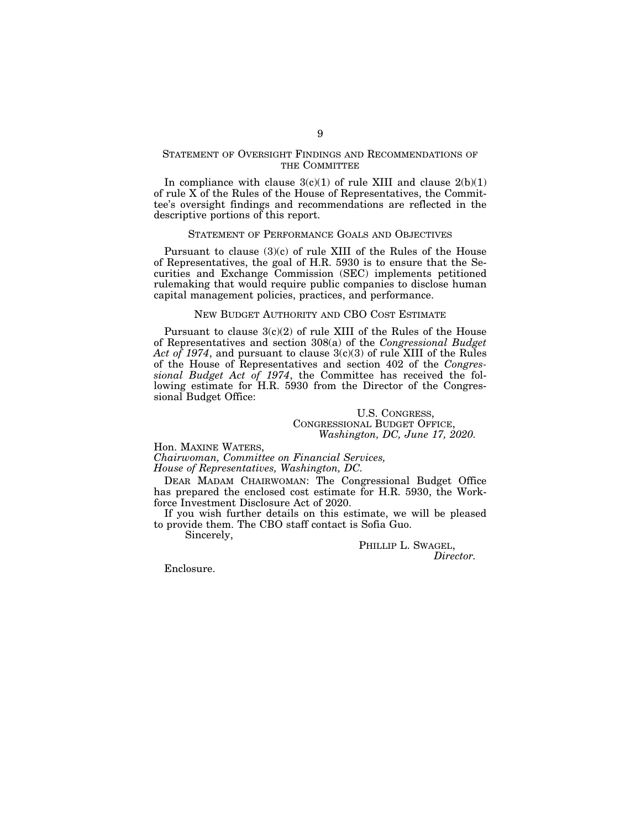## STATEMENT OF OVERSIGHT FINDINGS AND RECOMMENDATIONS OF THE COMMITTEE

In compliance with clause  $3(c)(1)$  of rule XIII and clause  $2(b)(1)$ of rule X of the Rules of the House of Representatives, the Committee's oversight findings and recommendations are reflected in the descriptive portions of this report.

### STATEMENT OF PERFORMANCE GOALS AND OBJECTIVES

Pursuant to clause  $(3)(c)$  of rule XIII of the Rules of the House of Representatives, the goal of H.R. 5930 is to ensure that the Securities and Exchange Commission (SEC) implements petitioned rulemaking that would require public companies to disclose human capital management policies, practices, and performance.

#### NEW BUDGET AUTHORITY AND CBO COST ESTIMATE

Pursuant to clause 3(c)(2) of rule XIII of the Rules of the House of Representatives and section 308(a) of the *Congressional Budget Act of 1974*, and pursuant to clause 3(c)(3) of rule XIII of the Rules of the House of Representatives and section 402 of the *Congressional Budget Act of 1974*, the Committee has received the following estimate for H.R. 5930 from the Director of the Congressional Budget Office:

> U.S. CONGRESS, CONGRESSIONAL BUDGET OFFICE, *Washington, DC, June 17, 2020.*

Hon. MAXINE WATERS,

*Chairwoman, Committee on Financial Services, House of Representatives, Washington, DC.* 

DEAR MADAM CHAIRWOMAN: The Congressional Budget Office has prepared the enclosed cost estimate for H.R. 5930, the Workforce Investment Disclosure Act of 2020.

If you wish further details on this estimate, we will be pleased to provide them. The CBO staff contact is Sofia Guo.

Sincerely,

PHILLIP L. SWAGEL,

*Director.* 

Enclosure.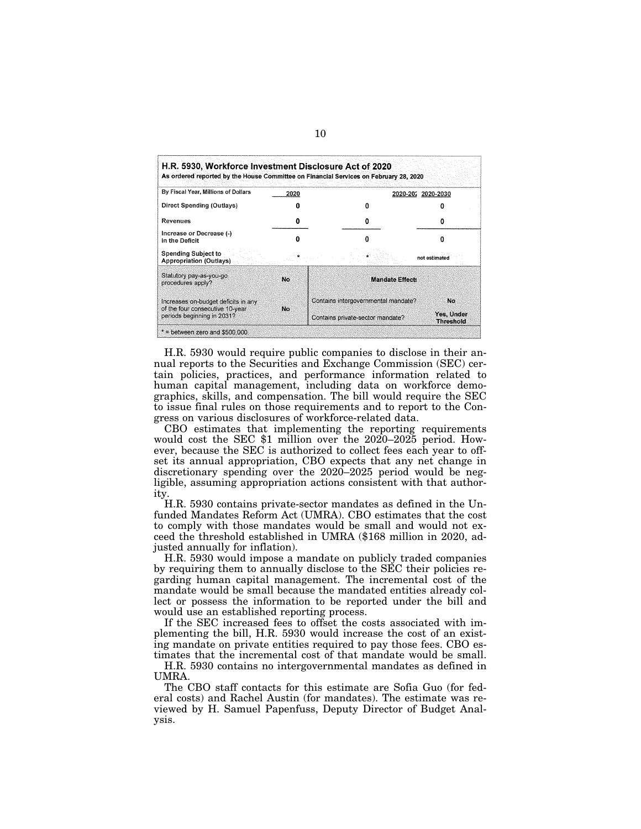| By Fiscal Year, Millions of Dollars                           | 2020 |                                     | 2020-201 2020-2030             |
|---------------------------------------------------------------|------|-------------------------------------|--------------------------------|
| Direct Spending (Outlays)                                     |      |                                     |                                |
| Revenues                                                      |      |                                     | o                              |
| Increase or Decrease (-)<br>in the Deficit                    |      |                                     |                                |
| Spending Subject to<br>Appropriation (Outlays)                |      |                                     | not estimated                  |
| Statutory pay-as-you-go<br>procedures apply?                  | No   | <b>Mandate Effect:</b>              |                                |
| Increases on-budget deficits in any                           |      | Contains intergovernmental mandate? | No                             |
| of the four consecutive 10-year<br>periods beginning in 2031? | No   | Contains private-sector mandate?    | Yes, Under<br><b>Threshold</b> |

H.R. 5930 would require public companies to disclose in their annual reports to the Securities and Exchange Commission (SEC) certain policies, practices, and performance information related to human capital management, including data on workforce demographics, skills, and compensation. The bill would require the SEC to issue final rules on those requirements and to report to the Congress on various disclosures of workforce-related data.

CBO estimates that implementing the reporting requirements would cost the SEC \$1 million over the 2020–2025 period. However, because the SEC is authorized to collect fees each year to offset its annual appropriation, CBO expects that any net change in discretionary spending over the 2020–2025 period would be negligible, assuming appropriation actions consistent with that authority.

H.R. 5930 contains private-sector mandates as defined in the Unfunded Mandates Reform Act (UMRA). CBO estimates that the cost to comply with those mandates would be small and would not exceed the threshold established in UMRA (\$168 million in 2020, adjusted annually for inflation).

H.R. 5930 would impose a mandate on publicly traded companies by requiring them to annually disclose to the SEC their policies regarding human capital management. The incremental cost of the mandate would be small because the mandated entities already collect or possess the information to be reported under the bill and would use an established reporting process.

If the SEC increased fees to offset the costs associated with implementing the bill, H.R. 5930 would increase the cost of an existing mandate on private entities required to pay those fees. CBO estimates that the incremental cost of that mandate would be small.

H.R. 5930 contains no intergovernmental mandates as defined in UMRA.

The CBO staff contacts for this estimate are Sofia Guo (for federal costs) and Rachel Austin (for mandates). The estimate was reviewed by H. Samuel Papenfuss, Deputy Director of Budget Analysis.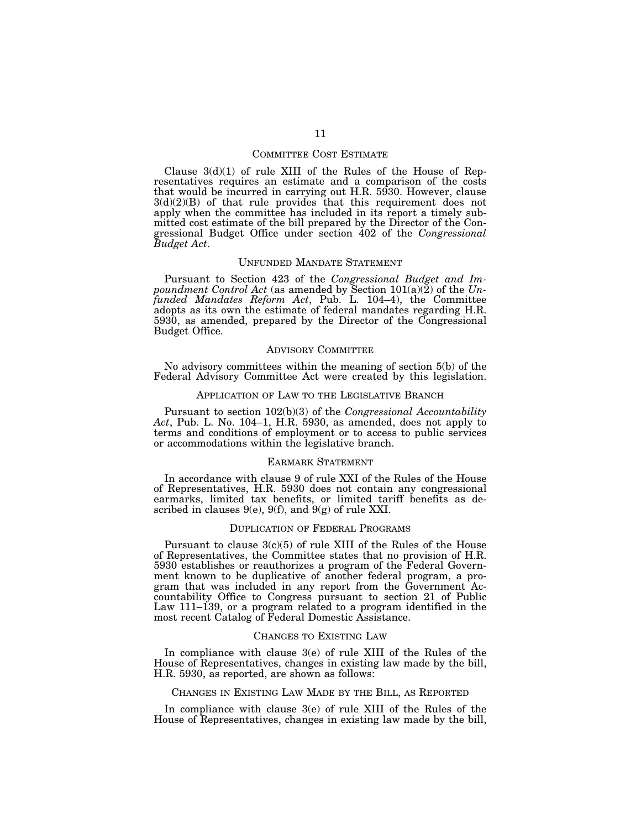#### COMMITTEE COST ESTIMATE

Clause  $3(d)(1)$  of rule XIII of the Rules of the House of Representatives requires an estimate and a comparison of the costs that would be incurred in carrying out H.R. 5930. However, clause  $3(d)(2)(B)$  of that rule provides that this requirement does not apply when the committee has included in its report a timely submitted cost estimate of the bill prepared by the Director of the Congressional Budget Office under section 402 of the *Congressional Budget Act*.

### UNFUNDED MANDATE STATEMENT

Pursuant to Section 423 of the *Congressional Budget and Impoundment Control Act* (as amended by Section 101(a)(2) of the *Unfunded Mandates Reform Act*, Pub. L. 104–4), the Committee adopts as its own the estimate of federal mandates regarding H.R. 5930, as amended, prepared by the Director of the Congressional Budget Office.

#### ADVISORY COMMITTEE

No advisory committees within the meaning of section 5(b) of the Federal Advisory Committee Act were created by this legislation.

#### APPLICATION OF LAW TO THE LEGISLATIVE BRANCH

Pursuant to section 102(b)(3) of the *Congressional Accountability Act*, Pub. L. No. 104–1, H.R. 5930, as amended, does not apply to terms and conditions of employment or to access to public services or accommodations within the legislative branch.

### EARMARK STATEMENT

In accordance with clause 9 of rule XXI of the Rules of the House of Representatives, H.R. 5930 does not contain any congressional earmarks, limited tax benefits, or limited tariff benefits as described in clauses  $9(e)$ ,  $9(f)$ , and  $9(g)$  of rule XXI.

### DUPLICATION OF FEDERAL PROGRAMS

Pursuant to clause 3(c)(5) of rule XIII of the Rules of the House of Representatives, the Committee states that no provision of H.R. 5930 establishes or reauthorizes a program of the Federal Government known to be duplicative of another federal program, a program that was included in any report from the Government Accountability Office to Congress pursuant to section 21 of Public Law 111–139, or a program related to a program identified in the most recent Catalog of Federal Domestic Assistance.

### CHANGES TO EXISTING LAW

In compliance with clause 3(e) of rule XIII of the Rules of the House of Representatives, changes in existing law made by the bill, H.R. 5930, as reported, are shown as follows:

### CHANGES IN EXISTING LAW MADE BY THE BILL, AS REPORTED

In compliance with clause 3(e) of rule XIII of the Rules of the House of Representatives, changes in existing law made by the bill,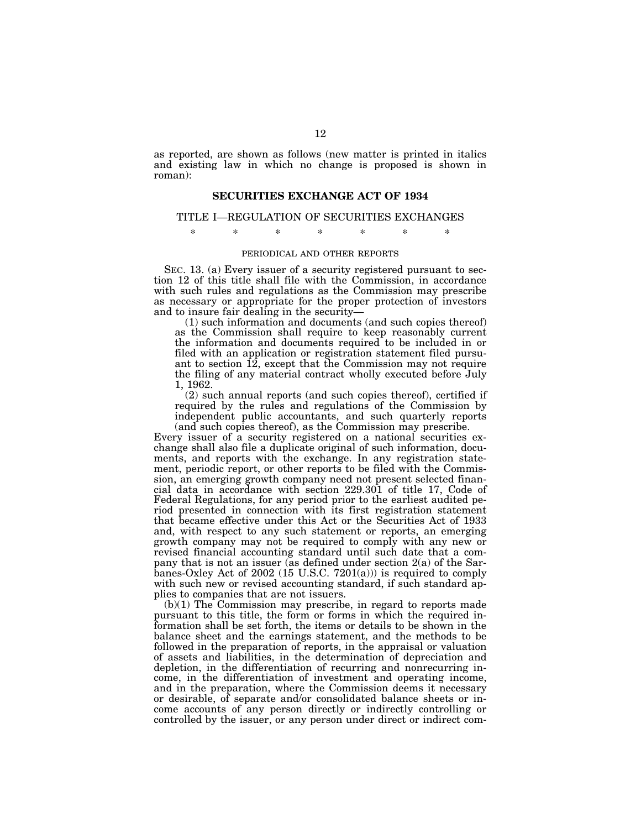as reported, are shown as follows (new matter is printed in italics and existing law in which no change is proposed is shown in roman):

## **SECURITIES EXCHANGE ACT OF 1934**

## TITLE I—REGULATION OF SECURITIES EXCHANGES

\* \* \* \* \* \* \*

#### PERIODICAL AND OTHER REPORTS

SEC. 13. (a) Every issuer of a security registered pursuant to section 12 of this title shall file with the Commission, in accordance with such rules and regulations as the Commission may prescribe as necessary or appropriate for the proper protection of investors and to insure fair dealing in the security—

(1) such information and documents (and such copies thereof) as the Commission shall require to keep reasonably current the information and documents required to be included in or filed with an application or registration statement filed pursuant to section 12, except that the Commission may not require the filing of any material contract wholly executed before July 1, 1962.

(2) such annual reports (and such copies thereof), certified if required by the rules and regulations of the Commission by independent public accountants, and such quarterly reports (and such copies thereof), as the Commission may prescribe.

Every issuer of a security registered on a national securities exchange shall also file a duplicate original of such information, documents, and reports with the exchange. In any registration statement, periodic report, or other reports to be filed with the Commission, an emerging growth company need not present selected financial data in accordance with section 229.301 of title 17, Code of Federal Regulations, for any period prior to the earliest audited period presented in connection with its first registration statement that became effective under this Act or the Securities Act of 1933 and, with respect to any such statement or reports, an emerging growth company may not be required to comply with any new or revised financial accounting standard until such date that a company that is not an issuer (as defined under section 2(a) of the Sarbanes-Oxley Act of 2002 (15 U.S.C. 7201(a))) is required to comply with such new or revised accounting standard, if such standard applies to companies that are not issuers.

(b)(1) The Commission may prescribe, in regard to reports made pursuant to this title, the form or forms in which the required information shall be set forth, the items or details to be shown in the balance sheet and the earnings statement, and the methods to be followed in the preparation of reports, in the appraisal or valuation of assets and liabilities, in the determination of depreciation and depletion, in the differentiation of recurring and nonrecurring income, in the differentiation of investment and operating income, and in the preparation, where the Commission deems it necessary or desirable, of separate and/or consolidated balance sheets or income accounts of any person directly or indirectly controlling or controlled by the issuer, or any person under direct or indirect com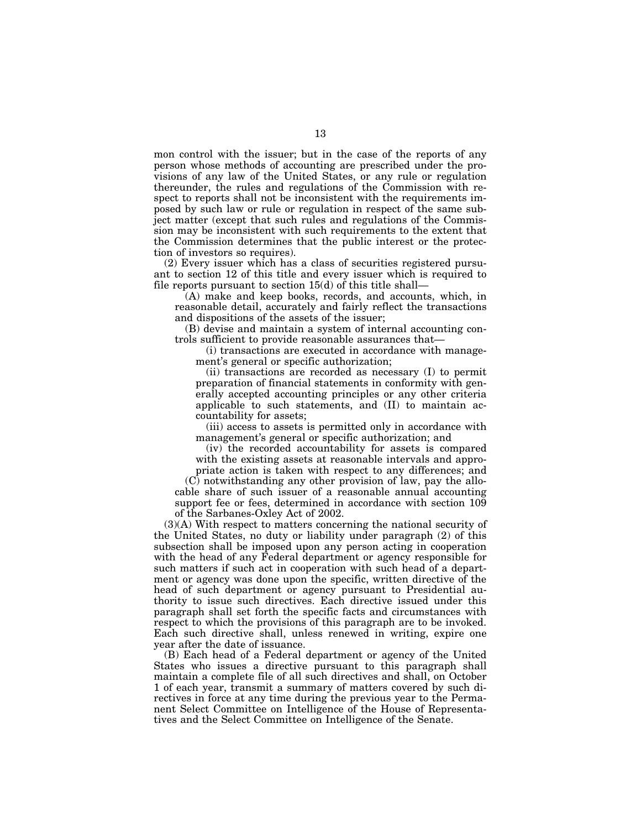mon control with the issuer; but in the case of the reports of any person whose methods of accounting are prescribed under the provisions of any law of the United States, or any rule or regulation thereunder, the rules and regulations of the Commission with respect to reports shall not be inconsistent with the requirements imposed by such law or rule or regulation in respect of the same subject matter (except that such rules and regulations of the Commission may be inconsistent with such requirements to the extent that the Commission determines that the public interest or the protection of investors so requires).

(2) Every issuer which has a class of securities registered pursuant to section 12 of this title and every issuer which is required to file reports pursuant to section 15(d) of this title shall—

(A) make and keep books, records, and accounts, which, in reasonable detail, accurately and fairly reflect the transactions and dispositions of the assets of the issuer;

(B) devise and maintain a system of internal accounting controls sufficient to provide reasonable assurances that—

(i) transactions are executed in accordance with management's general or specific authorization;

(ii) transactions are recorded as necessary (I) to permit preparation of financial statements in conformity with generally accepted accounting principles or any other criteria applicable to such statements, and (II) to maintain accountability for assets;

(iii) access to assets is permitted only in accordance with management's general or specific authorization; and

(iv) the recorded accountability for assets is compared with the existing assets at reasonable intervals and appropriate action is taken with respect to any differences; and

 $(C)$  notwithstanding any other provision of law, pay the allocable share of such issuer of a reasonable annual accounting support fee or fees, determined in accordance with section 109 of the Sarbanes-Oxley Act of 2002.

(3)(A) With respect to matters concerning the national security of the United States, no duty or liability under paragraph (2) of this subsection shall be imposed upon any person acting in cooperation with the head of any Federal department or agency responsible for such matters if such act in cooperation with such head of a department or agency was done upon the specific, written directive of the head of such department or agency pursuant to Presidential authority to issue such directives. Each directive issued under this paragraph shall set forth the specific facts and circumstances with respect to which the provisions of this paragraph are to be invoked. Each such directive shall, unless renewed in writing, expire one year after the date of issuance.

(B) Each head of a Federal department or agency of the United States who issues a directive pursuant to this paragraph shall maintain a complete file of all such directives and shall, on October 1 of each year, transmit a summary of matters covered by such directives in force at any time during the previous year to the Permanent Select Committee on Intelligence of the House of Representatives and the Select Committee on Intelligence of the Senate.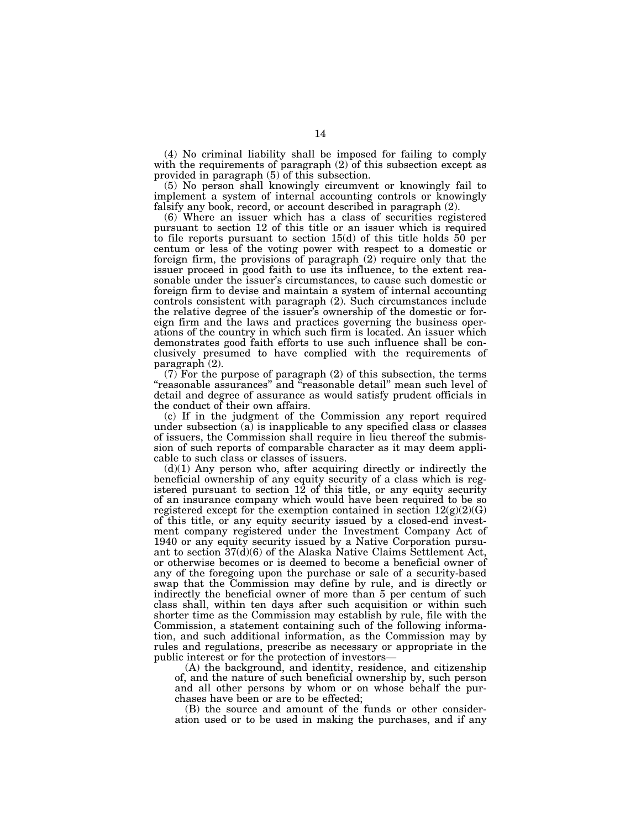(4) No criminal liability shall be imposed for failing to comply with the requirements of paragraph (2) of this subsection except as provided in paragraph (5) of this subsection.

(5) No person shall knowingly circumvent or knowingly fail to implement a system of internal accounting controls or knowingly falsify any book, record, or account described in paragraph (2).

(6) Where an issuer which has a class of securities registered pursuant to section 12 of this title or an issuer which is required to file reports pursuant to section 15(d) of this title holds 50 per centum or less of the voting power with respect to a domestic or foreign firm, the provisions of paragraph (2) require only that the issuer proceed in good faith to use its influence, to the extent reasonable under the issuer's circumstances, to cause such domestic or foreign firm to devise and maintain a system of internal accounting controls consistent with paragraph (2). Such circumstances include the relative degree of the issuer's ownership of the domestic or foreign firm and the laws and practices governing the business operations of the country in which such firm is located. An issuer which demonstrates good faith efforts to use such influence shall be conclusively presumed to have complied with the requirements of paragraph (2).

(7) For the purpose of paragraph (2) of this subsection, the terms "reasonable assurances" and "reasonable detail" mean such level of detail and degree of assurance as would satisfy prudent officials in the conduct of their own affairs.

(c) If in the judgment of the Commission any report required under subsection (a) is inapplicable to any specified class or classes of issuers, the Commission shall require in lieu thereof the submission of such reports of comparable character as it may deem applicable to such class or classes of issuers.

 $(d)(1)$  Any person who, after acquiring directly or indirectly the beneficial ownership of any equity security of a class which is registered pursuant to section  $12$  of this title, or any equity security of an insurance company which would have been required to be so registered except for the exemption contained in section  $12(g)(2)(G)$ of this title, or any equity security issued by a closed-end investment company registered under the Investment Company Act of 1940 or any equity security issued by a Native Corporation pursuant to section 37(d)(6) of the Alaska Native Claims Settlement Act, or otherwise becomes or is deemed to become a beneficial owner of any of the foregoing upon the purchase or sale of a security-based swap that the Commission may define by rule, and is directly or indirectly the beneficial owner of more than 5 per centum of such class shall, within ten days after such acquisition or within such shorter time as the Commission may establish by rule, file with the Commission, a statement containing such of the following information, and such additional information, as the Commission may by rules and regulations, prescribe as necessary or appropriate in the public interest or for the protection of investors—

(A) the background, and identity, residence, and citizenship of, and the nature of such beneficial ownership by, such person and all other persons by whom or on whose behalf the purchases have been or are to be effected;

(B) the source and amount of the funds or other consideration used or to be used in making the purchases, and if any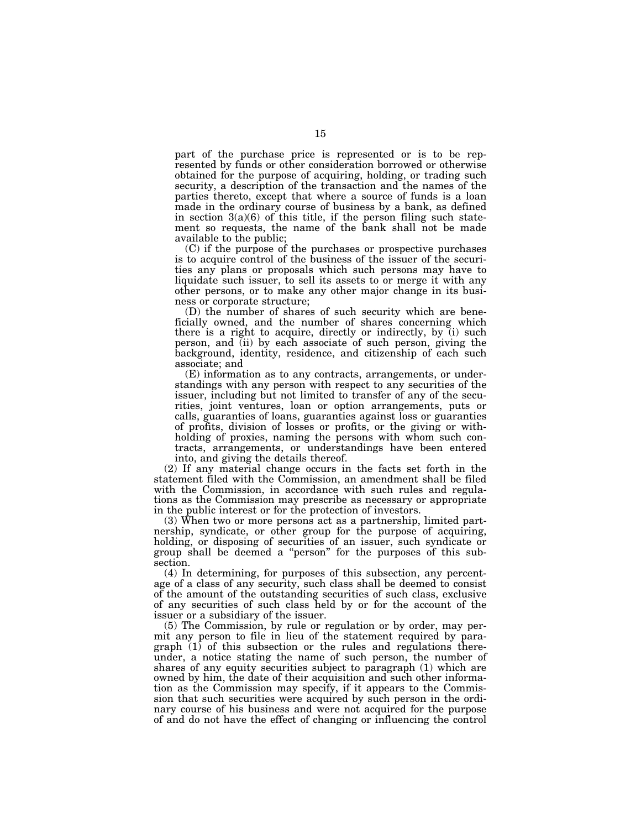part of the purchase price is represented or is to be represented by funds or other consideration borrowed or otherwise obtained for the purpose of acquiring, holding, or trading such security, a description of the transaction and the names of the parties thereto, except that where a source of funds is a loan made in the ordinary course of business by a bank, as defined in section  $3(a)(6)$  of this title, if the person filing such statement so requests, the name of the bank shall not be made available to the public;

(C) if the purpose of the purchases or prospective purchases is to acquire control of the business of the issuer of the securities any plans or proposals which such persons may have to liquidate such issuer, to sell its assets to or merge it with any other persons, or to make any other major change in its business or corporate structure;

(D) the number of shares of such security which are beneficially owned, and the number of shares concerning which there is a right to acquire, directly or indirectly, by (i) such person, and (ii) by each associate of such person, giving the background, identity, residence, and citizenship of each such associate; and

(E) information as to any contracts, arrangements, or understandings with any person with respect to any securities of the issuer, including but not limited to transfer of any of the securities, joint ventures, loan or option arrangements, puts or calls, guaranties of loans, guaranties against loss or guaranties of profits, division of losses or profits, or the giving or withholding of proxies, naming the persons with whom such contracts, arrangements, or understandings have been entered into, and giving the details thereof.

(2) If any material change occurs in the facts set forth in the statement filed with the Commission, an amendment shall be filed with the Commission, in accordance with such rules and regulations as the Commission may prescribe as necessary or appropriate in the public interest or for the protection of investors.

(3) When two or more persons act as a partnership, limited partnership, syndicate, or other group for the purpose of acquiring, holding, or disposing of securities of an issuer, such syndicate or group shall be deemed a ''person'' for the purposes of this subsection.

(4) In determining, for purposes of this subsection, any percentage of a class of any security, such class shall be deemed to consist of the amount of the outstanding securities of such class, exclusive of any securities of such class held by or for the account of the issuer or a subsidiary of the issuer.

(5) The Commission, by rule or regulation or by order, may permit any person to file in lieu of the statement required by paragraph (1) of this subsection or the rules and regulations thereunder, a notice stating the name of such person, the number of shares of any equity securities subject to paragraph (1) which are owned by him, the date of their acquisition and such other information as the Commission may specify, if it appears to the Commission that such securities were acquired by such person in the ordinary course of his business and were not acquired for the purpose of and do not have the effect of changing or influencing the control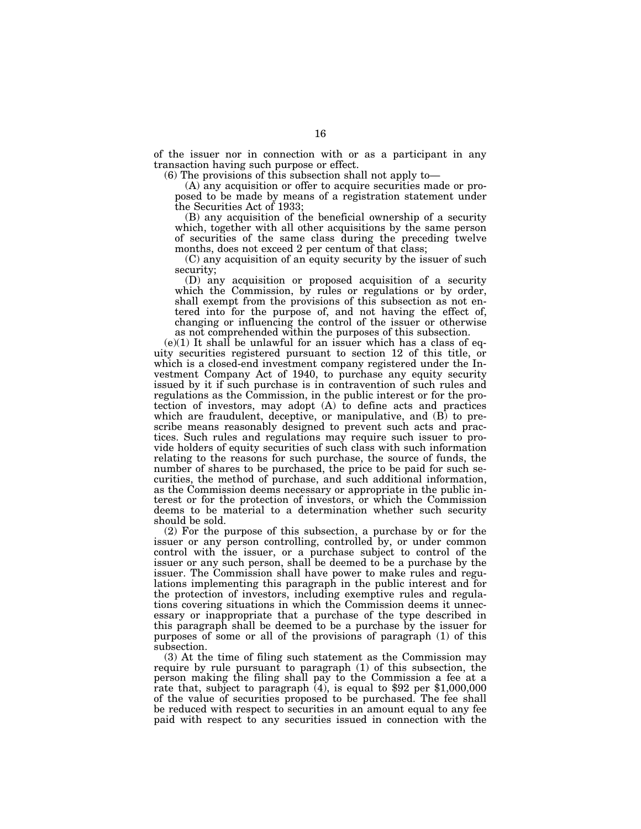of the issuer nor in connection with or as a participant in any transaction having such purpose or effect.

(6) The provisions of this subsection shall not apply to—

(A) any acquisition or offer to acquire securities made or proposed to be made by means of a registration statement under the Securities Act of 1933;

(B) any acquisition of the beneficial ownership of a security which, together with all other acquisitions by the same person of securities of the same class during the preceding twelve months, does not exceed 2 per centum of that class;

(C) any acquisition of an equity security by the issuer of such security;

(D) any acquisition or proposed acquisition of a security which the Commission, by rules or regulations or by order, shall exempt from the provisions of this subsection as not entered into for the purpose of, and not having the effect of, changing or influencing the control of the issuer or otherwise as not comprehended within the purposes of this subsection.

 $(e)(1)$  It shall be unlawful for an issuer which has a class of equity securities registered pursuant to section 12 of this title, or which is a closed-end investment company registered under the Investment Company Act of 1940, to purchase any equity security issued by it if such purchase is in contravention of such rules and regulations as the Commission, in the public interest or for the protection of investors, may adopt (A) to define acts and practices which are fraudulent, deceptive, or manipulative, and (B) to prescribe means reasonably designed to prevent such acts and practices. Such rules and regulations may require such issuer to provide holders of equity securities of such class with such information relating to the reasons for such purchase, the source of funds, the number of shares to be purchased, the price to be paid for such securities, the method of purchase, and such additional information, as the Commission deems necessary or appropriate in the public interest or for the protection of investors, or which the Commission deems to be material to a determination whether such security should be sold.

(2) For the purpose of this subsection, a purchase by or for the issuer or any person controlling, controlled by, or under common control with the issuer, or a purchase subject to control of the issuer or any such person, shall be deemed to be a purchase by the issuer. The Commission shall have power to make rules and regulations implementing this paragraph in the public interest and for the protection of investors, including exemptive rules and regulations covering situations in which the Commission deems it unnecessary or inappropriate that a purchase of the type described in this paragraph shall be deemed to be a purchase by the issuer for purposes of some or all of the provisions of paragraph (1) of this subsection.

(3) At the time of filing such statement as the Commission may require by rule pursuant to paragraph (1) of this subsection, the person making the filing shall pay to the Commission a fee at a rate that, subject to paragraph  $(4)$ , is equal to \$92 per \$1,000,000 of the value of securities proposed to be purchased. The fee shall be reduced with respect to securities in an amount equal to any fee paid with respect to any securities issued in connection with the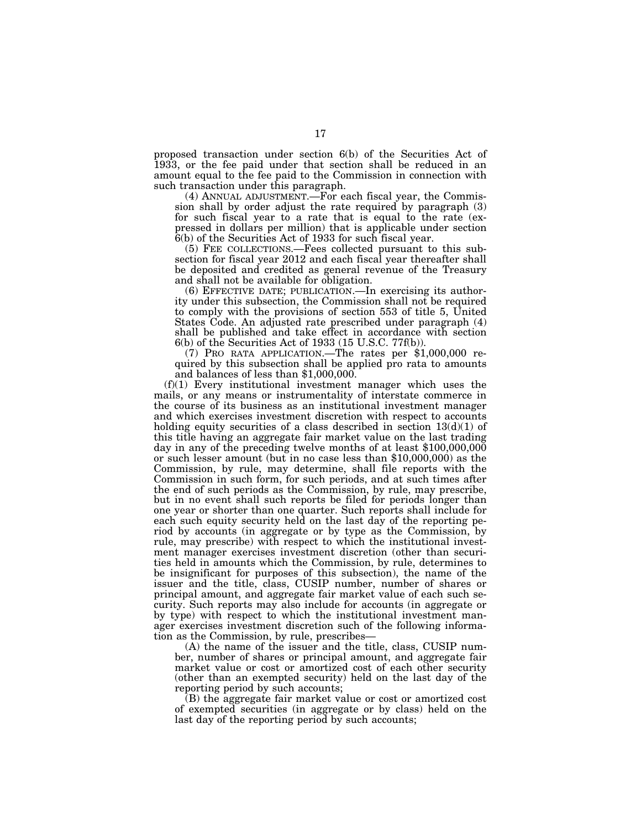proposed transaction under section 6(b) of the Securities Act of 1933, or the fee paid under that section shall be reduced in an amount equal to the fee paid to the Commission in connection with such transaction under this paragraph.

(4) ANNUAL ADJUSTMENT.—For each fiscal year, the Commission shall by order adjust the rate required by paragraph (3) for such fiscal year to a rate that is equal to the rate (expressed in dollars per million) that is applicable under section 6(b) of the Securities Act of 1933 for such fiscal year.

(5) FEE COLLECTIONS.—Fees collected pursuant to this subsection for fiscal year 2012 and each fiscal year thereafter shall be deposited and credited as general revenue of the Treasury and shall not be available for obligation.

(6) EFFECTIVE DATE; PUBLICATION.—In exercising its authority under this subsection, the Commission shall not be required to comply with the provisions of section 553 of title 5, United States Code. An adjusted rate prescribed under paragraph (4) shall be published and take effect in accordance with section 6(b) of the Securities Act of 1933 (15 U.S.C. 77f(b)).

(7) PRO RATA APPLICATION.—The rates per \$1,000,000 required by this subsection shall be applied pro rata to amounts and balances of less than \$1,000,000.

(f)(1) Every institutional investment manager which uses the mails, or any means or instrumentality of interstate commerce in the course of its business as an institutional investment manager and which exercises investment discretion with respect to accounts holding equity securities of a class described in section  $13(d)(1)$  of this title having an aggregate fair market value on the last trading day in any of the preceding twelve months of at least \$100,000,000 or such lesser amount (but in no case less than \$10,000,000) as the Commission, by rule, may determine, shall file reports with the Commission in such form, for such periods, and at such times after the end of such periods as the Commission, by rule, may prescribe, but in no event shall such reports be filed for periods longer than one year or shorter than one quarter. Such reports shall include for each such equity security held on the last day of the reporting period by accounts (in aggregate or by type as the Commission, by rule, may prescribe) with respect to which the institutional investment manager exercises investment discretion (other than securities held in amounts which the Commission, by rule, determines to be insignificant for purposes of this subsection), the name of the issuer and the title, class, CUSIP number, number of shares or principal amount, and aggregate fair market value of each such security. Such reports may also include for accounts (in aggregate or by type) with respect to which the institutional investment manager exercises investment discretion such of the following information as the Commission, by rule, prescribes—

(A) the name of the issuer and the title, class, CUSIP number, number of shares or principal amount, and aggregate fair market value or cost or amortized cost of each other security (other than an exempted security) held on the last day of the reporting period by such accounts;

(B) the aggregate fair market value or cost or amortized cost of exempted securities (in aggregate or by class) held on the last day of the reporting period by such accounts;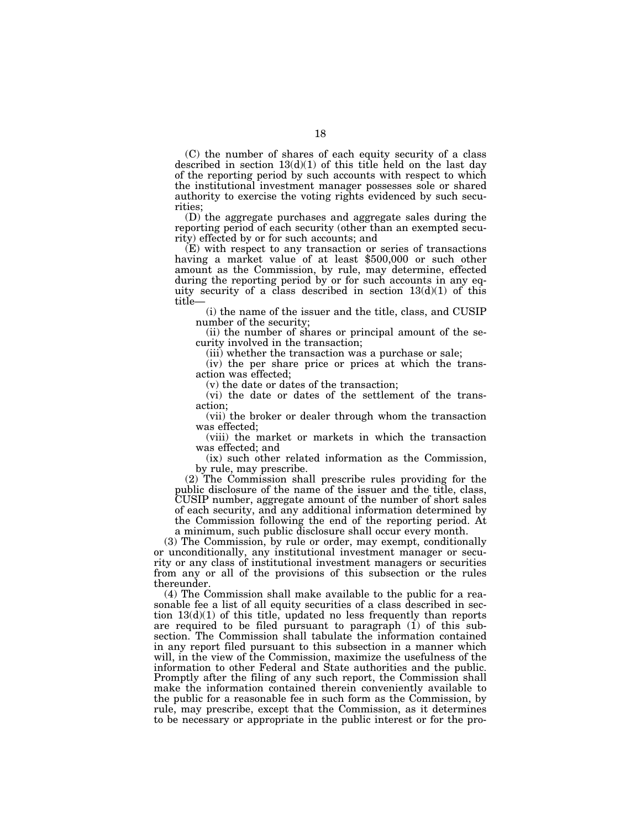(C) the number of shares of each equity security of a class described in section 13(d)(1) of this title held on the last day of the reporting period by such accounts with respect to which the institutional investment manager possesses sole or shared authority to exercise the voting rights evidenced by such securities;

(D) the aggregate purchases and aggregate sales during the reporting period of each security (other than an exempted secu-

rity) effected by or for such accounts; and<br>(E) with respect to any transaction or series of transactions having a market value of at least \$500,000 or such other amount as the Commission, by rule, may determine, effected during the reporting period by or for such accounts in any equity security of a class described in section  $13(d)(1)$  of this title—

(i) the name of the issuer and the title, class, and CUSIP number of the security;

(ii) the number of shares or principal amount of the security involved in the transaction;

(iii) whether the transaction was a purchase or sale;

(iv) the per share price or prices at which the transaction was effected;

(v) the date or dates of the transaction;

(vi) the date or dates of the settlement of the transaction;

(vii) the broker or dealer through whom the transaction was effected;

(viii) the market or markets in which the transaction was effected; and

(ix) such other related information as the Commission, by rule, may prescribe.

(2) The Commission shall prescribe rules providing for the public disclosure of the name of the issuer and the title, class, CUSIP number, aggregate amount of the number of short sales of each security, and any additional information determined by the Commission following the end of the reporting period. At a minimum, such public disclosure shall occur every month.

(3) The Commission, by rule or order, may exempt, conditionally or unconditionally, any institutional investment manager or security or any class of institutional investment managers or securities from any or all of the provisions of this subsection or the rules thereunder.

(4) The Commission shall make available to the public for a reasonable fee a list of all equity securities of a class described in section 13(d)(1) of this title, updated no less frequently than reports are required to be filed pursuant to paragraph (1) of this subsection. The Commission shall tabulate the information contained in any report filed pursuant to this subsection in a manner which will, in the view of the Commission, maximize the usefulness of the information to other Federal and State authorities and the public. Promptly after the filing of any such report, the Commission shall make the information contained therein conveniently available to the public for a reasonable fee in such form as the Commission, by rule, may prescribe, except that the Commission, as it determines to be necessary or appropriate in the public interest or for the pro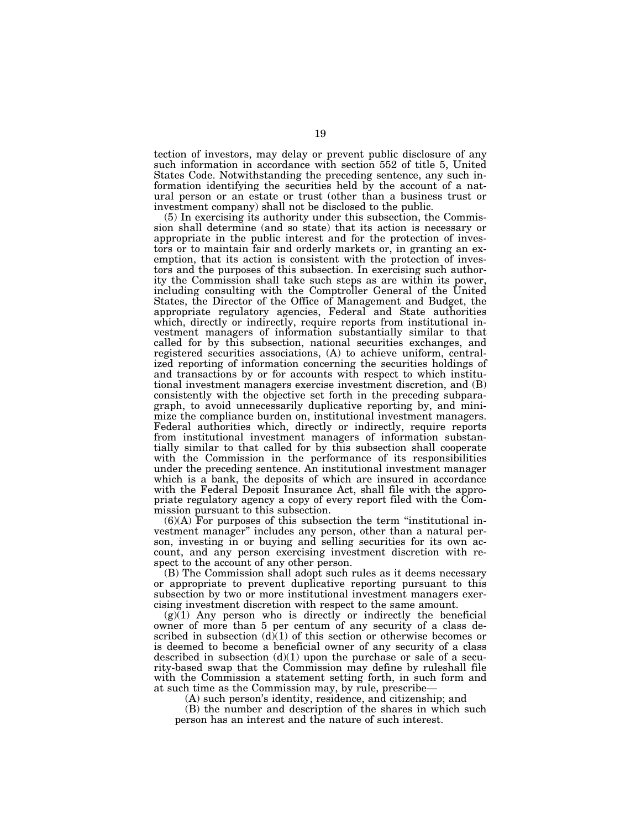tection of investors, may delay or prevent public disclosure of any such information in accordance with section 552 of title 5, United States Code. Notwithstanding the preceding sentence, any such information identifying the securities held by the account of a natural person or an estate or trust (other than a business trust or investment company) shall not be disclosed to the public.

(5) In exercising its authority under this subsection, the Commission shall determine (and so state) that its action is necessary or appropriate in the public interest and for the protection of investors or to maintain fair and orderly markets or, in granting an exemption, that its action is consistent with the protection of investors and the purposes of this subsection. In exercising such authority the Commission shall take such steps as are within its power, including consulting with the Comptroller General of the United States, the Director of the Office of Management and Budget, the appropriate regulatory agencies, Federal and State authorities which, directly or indirectly, require reports from institutional investment managers of information substantially similar to that called for by this subsection, national securities exchanges, and registered securities associations, (A) to achieve uniform, centralized reporting of information concerning the securities holdings of and transactions by or for accounts with respect to which institutional investment managers exercise investment discretion, and (B) consistently with the objective set forth in the preceding subparagraph, to avoid unnecessarily duplicative reporting by, and minimize the compliance burden on, institutional investment managers. Federal authorities which, directly or indirectly, require reports from institutional investment managers of information substantially similar to that called for by this subsection shall cooperate with the Commission in the performance of its responsibilities under the preceding sentence. An institutional investment manager which is a bank, the deposits of which are insured in accordance with the Federal Deposit Insurance Act, shall file with the appropriate regulatory agency a copy of every report filed with the Commission pursuant to this subsection.

 $(6)(A)$  For purposes of this subsection the term "institutional investment manager'' includes any person, other than a natural person, investing in or buying and selling securities for its own account, and any person exercising investment discretion with respect to the account of any other person.

(B) The Commission shall adopt such rules as it deems necessary or appropriate to prevent duplicative reporting pursuant to this subsection by two or more institutional investment managers exercising investment discretion with respect to the same amount.

 $(g)(1)$  Any person who is directly or indirectly the beneficial owner of more than 5 per centum of any security of a class described in subsection  $(d)(1)$  of this section or otherwise becomes or is deemed to become a beneficial owner of any security of a class described in subsection  $(d)(1)$  upon the purchase or sale of a security-based swap that the Commission may define by ruleshall file with the Commission a statement setting forth, in such form and at such time as the Commission may, by rule, prescribe—

(A) such person's identity, residence, and citizenship; and

(B) the number and description of the shares in which such person has an interest and the nature of such interest.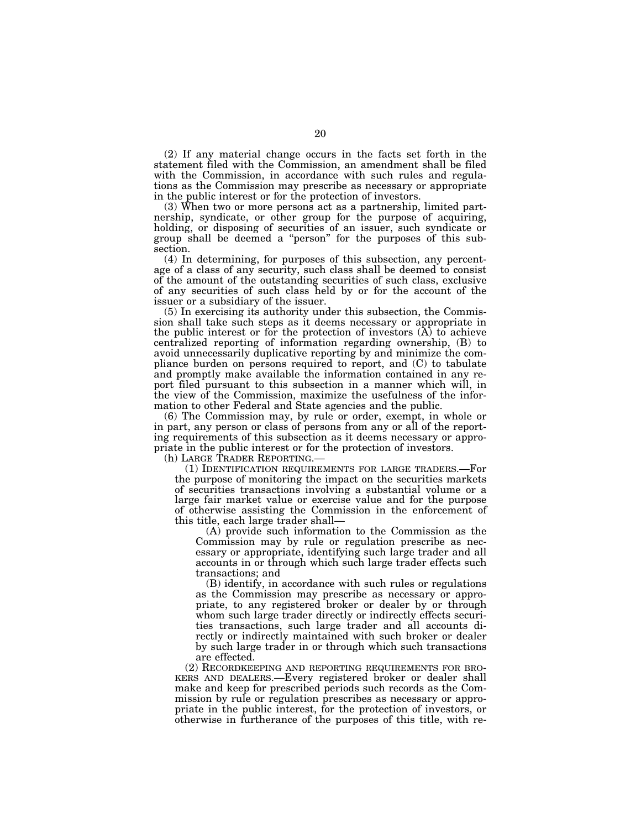(2) If any material change occurs in the facts set forth in the statement filed with the Commission, an amendment shall be filed with the Commission, in accordance with such rules and regulations as the Commission may prescribe as necessary or appropriate in the public interest or for the protection of investors.

(3) When two or more persons act as a partnership, limited partnership, syndicate, or other group for the purpose of acquiring, holding, or disposing of securities of an issuer, such syndicate or group shall be deemed a ''person'' for the purposes of this subsection.

(4) In determining, for purposes of this subsection, any percentage of a class of any security, such class shall be deemed to consist of the amount of the outstanding securities of such class, exclusive of any securities of such class held by or for the account of the issuer or a subsidiary of the issuer.

(5) In exercising its authority under this subsection, the Commission shall take such steps as it deems necessary or appropriate in the public interest or for the protection of investors  $(\overline{A})$  to achieve centralized reporting of information regarding ownership, (B) to avoid unnecessarily duplicative reporting by and minimize the compliance burden on persons required to report, and (C) to tabulate and promptly make available the information contained in any report filed pursuant to this subsection in a manner which will, in the view of the Commission, maximize the usefulness of the information to other Federal and State agencies and the public.

(6) The Commission may, by rule or order, exempt, in whole or in part, any person or class of persons from any or all of the reporting requirements of this subsection as it deems necessary or appropriate in the public interest or for the protection of investors.

(h) LARGE TRADER REPORTING.—

(1) IDENTIFICATION REQUIREMENTS FOR LARGE TRADERS.—For the purpose of monitoring the impact on the securities markets of securities transactions involving a substantial volume or a large fair market value or exercise value and for the purpose of otherwise assisting the Commission in the enforcement of this title, each large trader shall—

(A) provide such information to the Commission as the Commission may by rule or regulation prescribe as necessary or appropriate, identifying such large trader and all accounts in or through which such large trader effects such transactions; and

(B) identify, in accordance with such rules or regulations as the Commission may prescribe as necessary or appropriate, to any registered broker or dealer by or through whom such large trader directly or indirectly effects securities transactions, such large trader and all accounts directly or indirectly maintained with such broker or dealer by such large trader in or through which such transactions are effected.

(2) RECORDKEEPING AND REPORTING REQUIREMENTS FOR BRO-<br>KERS AND DEALERS.—Every registered broker or dealer shall make and keep for prescribed periods such records as the Commission by rule or regulation prescribes as necessary or appropriate in the public interest, for the protection of investors, or otherwise in furtherance of the purposes of this title, with re-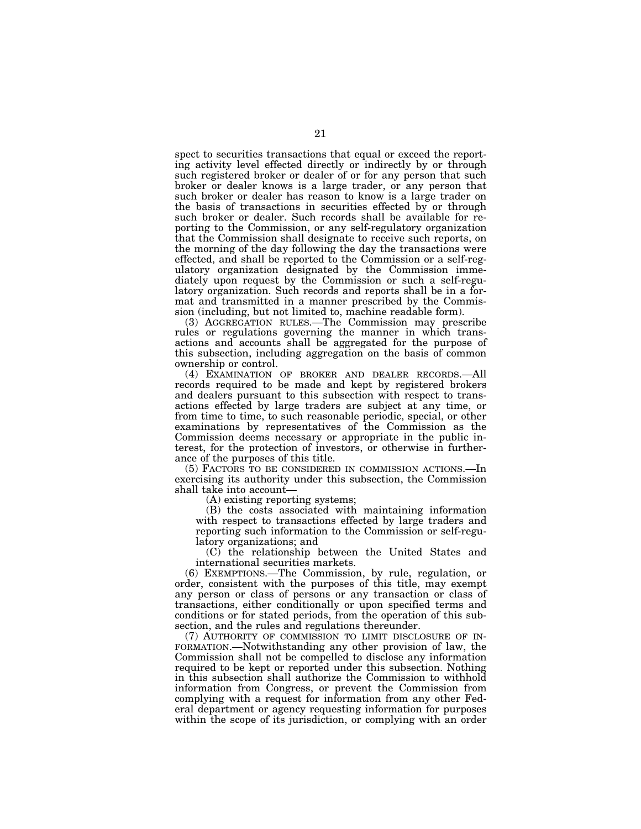spect to securities transactions that equal or exceed the reporting activity level effected directly or indirectly by or through such registered broker or dealer of or for any person that such broker or dealer knows is a large trader, or any person that such broker or dealer has reason to know is a large trader on the basis of transactions in securities effected by or through such broker or dealer. Such records shall be available for reporting to the Commission, or any self-regulatory organization that the Commission shall designate to receive such reports, on the morning of the day following the day the transactions were effected, and shall be reported to the Commission or a self-regulatory organization designated by the Commission immediately upon request by the Commission or such a self-regulatory organization. Such records and reports shall be in a format and transmitted in a manner prescribed by the Commission (including, but not limited to, machine readable form).

(3) AGGREGATION RULES.—The Commission may prescribe rules or regulations governing the manner in which transactions and accounts shall be aggregated for the purpose of this subsection, including aggregation on the basis of common ownership or control.

(4) EXAMINATION OF BROKER AND DEALER RECORDS.—All records required to be made and kept by registered brokers and dealers pursuant to this subsection with respect to transactions effected by large traders are subject at any time, or from time to time, to such reasonable periodic, special, or other examinations by representatives of the Commission as the Commission deems necessary or appropriate in the public interest, for the protection of investors, or otherwise in furtherance of the purposes of this title.

(5) FACTORS TO BE CONSIDERED IN COMMISSION ACTIONS.—In exercising its authority under this subsection, the Commission shall take into account—

(A) existing reporting systems;

(B) the costs associated with maintaining information with respect to transactions effected by large traders and reporting such information to the Commission or self-regulatory organizations; and

(C) the relationship between the United States and international securities markets.

(6) EXEMPTIONS.—The Commission, by rule, regulation, or order, consistent with the purposes of this title, may exempt any person or class of persons or any transaction or class of transactions, either conditionally or upon specified terms and conditions or for stated periods, from the operation of this sub-

section, and the rules and regulations thereunder.<br>(7) AUTHORITY OF COMMISSION TO LIMIT DISCLOSURE OF IN-FORMATION.—Notwithstanding any other provision of law, the Commission shall not be compelled to disclose any information required to be kept or reported under this subsection. Nothing in this subsection shall authorize the Commission to withhold information from Congress, or prevent the Commission from complying with a request for information from any other Federal department or agency requesting information for purposes within the scope of its jurisdiction, or complying with an order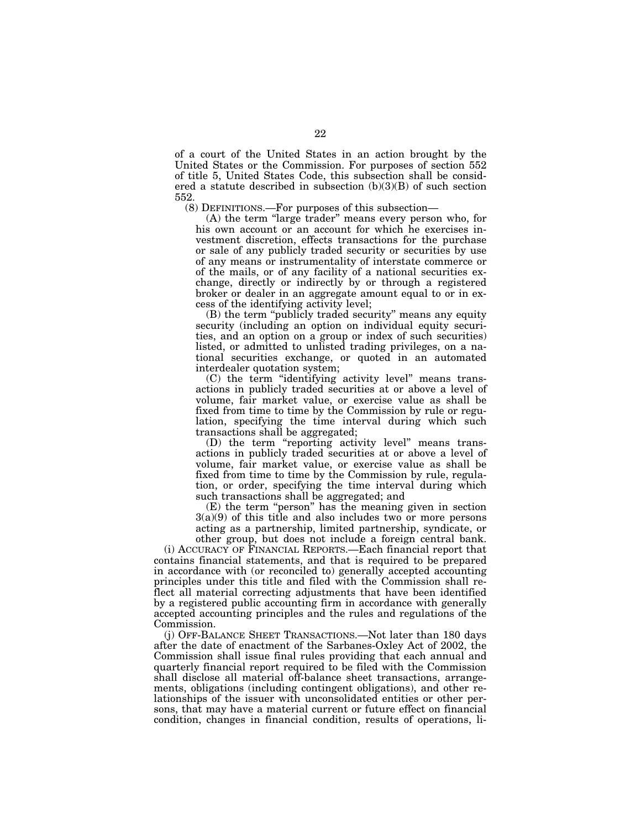of a court of the United States in an action brought by the United States or the Commission. For purposes of section 552 of title 5, United States Code, this subsection shall be considered a statute described in subsection (b)(3)(B) of such section 552.

(8) DEFINITIONS.—For purposes of this subsection—

(A) the term ''large trader'' means every person who, for his own account or an account for which he exercises investment discretion, effects transactions for the purchase or sale of any publicly traded security or securities by use of any means or instrumentality of interstate commerce or of the mails, or of any facility of a national securities exchange, directly or indirectly by or through a registered broker or dealer in an aggregate amount equal to or in excess of the identifying activity level;

(B) the term "publicly traded security" means any equity security (including an option on individual equity securities, and an option on a group or index of such securities) listed, or admitted to unlisted trading privileges, on a national securities exchange, or quoted in an automated interdealer quotation system;

(C) the term ''identifying activity level'' means transactions in publicly traded securities at or above a level of volume, fair market value, or exercise value as shall be fixed from time to time by the Commission by rule or regulation, specifying the time interval during which such transactions shall be aggregated;

(D) the term "reporting activity level" means transactions in publicly traded securities at or above a level of volume, fair market value, or exercise value as shall be fixed from time to time by the Commission by rule, regulation, or order, specifying the time interval during which such transactions shall be aggregated; and

(E) the term ''person'' has the meaning given in section 3(a)(9) of this title and also includes two or more persons acting as a partnership, limited partnership, syndicate, or other group, but does not include a foreign central bank.

(i) ACCURACY OF FINANCIAL REPORTS.—Each financial report that contains financial statements, and that is required to be prepared in accordance with (or reconciled to) generally accepted accounting principles under this title and filed with the Commission shall reflect all material correcting adjustments that have been identified by a registered public accounting firm in accordance with generally accepted accounting principles and the rules and regulations of the Commission.

(j) OFF-BALANCE SHEET TRANSACTIONS.—Not later than 180 days after the date of enactment of the Sarbanes-Oxley Act of 2002, the Commission shall issue final rules providing that each annual and quarterly financial report required to be filed with the Commission shall disclose all material off-balance sheet transactions, arrangements, obligations (including contingent obligations), and other relationships of the issuer with unconsolidated entities or other persons, that may have a material current or future effect on financial condition, changes in financial condition, results of operations, li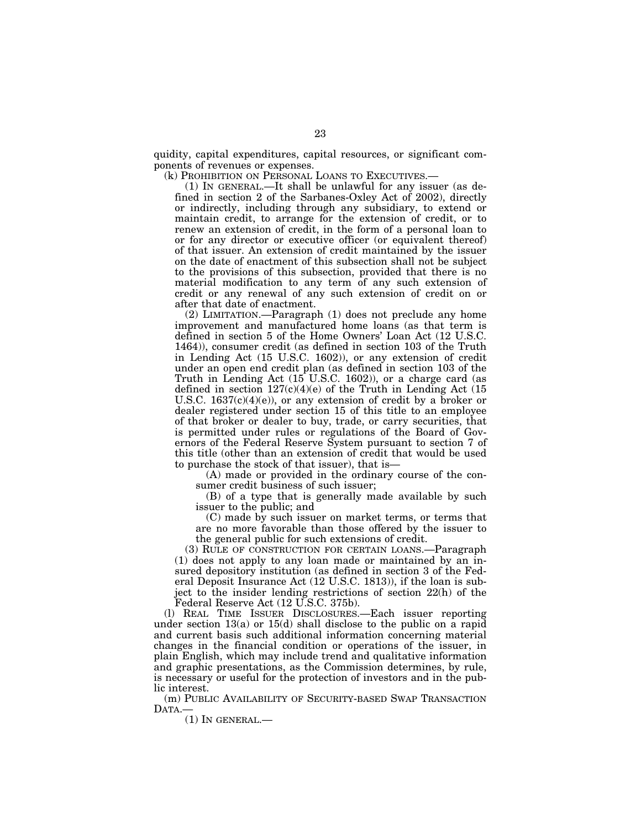quidity, capital expenditures, capital resources, or significant components of revenues or expenses.

(k) PROHIBITION ON PERSONAL LOANS TO EXECUTIVES.—

(1) IN GENERAL.—It shall be unlawful for any issuer (as defined in section 2 of the Sarbanes-Oxley Act of 2002), directly or indirectly, including through any subsidiary, to extend or maintain credit, to arrange for the extension of credit, or to renew an extension of credit, in the form of a personal loan to or for any director or executive officer (or equivalent thereof) of that issuer. An extension of credit maintained by the issuer on the date of enactment of this subsection shall not be subject to the provisions of this subsection, provided that there is no material modification to any term of any such extension of credit or any renewal of any such extension of credit on or after that date of enactment.

(2) LIMITATION.—Paragraph (1) does not preclude any home improvement and manufactured home loans (as that term is defined in section 5 of the Home Owners' Loan Act (12 U.S.C. 1464)), consumer credit (as defined in section 103 of the Truth in Lending Act (15 U.S.C. 1602)), or any extension of credit under an open end credit plan (as defined in section 103 of the Truth in Lending Act  $(15$  U.S.C. 1602)), or a charge card (as defined in section  $127(c)(4)(e)$  of the Truth in Lending Act (15) U.S.C.  $1637(c)(4)(e)$ , or any extension of credit by a broker or dealer registered under section 15 of this title to an employee of that broker or dealer to buy, trade, or carry securities, that is permitted under rules or regulations of the Board of Governors of the Federal Reserve System pursuant to section 7 of this title (other than an extension of credit that would be used to purchase the stock of that issuer), that is—

(A) made or provided in the ordinary course of the consumer credit business of such issuer;

(B) of a type that is generally made available by such issuer to the public; and

(C) made by such issuer on market terms, or terms that are no more favorable than those offered by the issuer to the general public for such extensions of credit.

(3) RULE OF CONSTRUCTION FOR CERTAIN LOANS.—Paragraph (1) does not apply to any loan made or maintained by an insured depository institution (as defined in section 3 of the Federal Deposit Insurance Act (12 U.S.C. 1813)), if the loan is subject to the insider lending restrictions of section 22(h) of the Federal Reserve Act (12 U.S.C. 375b).

(l) REAL TIME ISSUER DISCLOSURES.—Each issuer reporting under section 13(a) or 15(d) shall disclose to the public on a rapid and current basis such additional information concerning material changes in the financial condition or operations of the issuer, in plain English, which may include trend and qualitative information and graphic presentations, as the Commission determines, by rule, is necessary or useful for the protection of investors and in the public interest.

(m) PUBLIC AVAILABILITY OF SECURITY-BASED SWAP TRANSACTION DATA.—

(1) IN GENERAL.—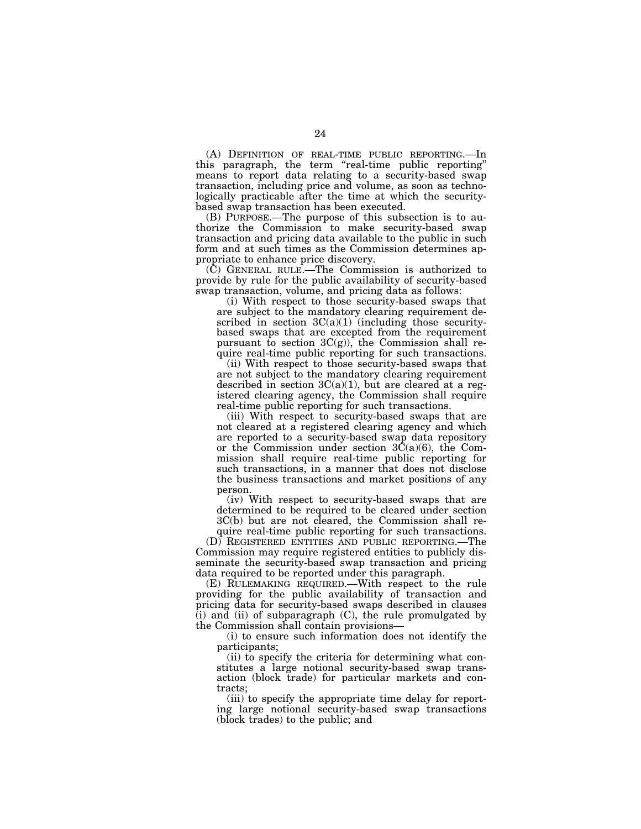(A) DEFINITION OF REAL-TIME PUBLIC REPORTING.—In this paragraph, the term ''real-time public reporting'' means to report data relating to a security-based swap transaction, including price and volume, as soon as technologically practicable after the time at which the securitybased swap transaction has been executed.

(B) PURPOSE.—The purpose of this subsection is to authorize the Commission to make security-based swap transaction and pricing data available to the public in such form and at such times as the Commission determines appropriate to enhance price discovery.

(C) GENERAL RULE.—The Commission is authorized to provide by rule for the public availability of security-based swap transaction, volume, and pricing data as follows:

(i) With respect to those security-based swaps that are subject to the mandatory clearing requirement described in section  $3C(a)(1)$  (including those securitybased swaps that are excepted from the requirement pursuant to section  $3C(g)$ , the Commission shall require real-time public reporting for such transactions.

(ii) With respect to those security-based swaps that are not subject to the mandatory clearing requirement described in section  $3C(a)(1)$ , but are cleared at a registered clearing agency, the Commission shall require real-time public reporting for such transactions.

(iii) With respect to security-based swaps that are not cleared at a registered clearing agency and which are reported to a security-based swap data repository or the Commission under section  $3\hat{C}(\alpha)(6)$ , the Commission shall require real-time public reporting for such transactions, in a manner that does not disclose the business transactions and market positions of any person.

(iv) With respect to security-based swaps that are determined to be required to be cleared under section 3C(b) but are not cleared, the Commission shall re-

quire real-time public reporting for such transactions. (D) REGISTERED ENTITIES AND PUBLIC REPORTING.—The Commission may require registered entities to publicly disseminate the security-based swap transaction and pricing data required to be reported under this paragraph.

(E) RULEMAKING REQUIRED.—With respect to the rule providing for the public availability of transaction and pricing data for security-based swaps described in clauses (i) and (ii) of subparagraph (C), the rule promulgated by the Commission shall contain provisions—

(i) to ensure such information does not identify the participants;

(ii) to specify the criteria for determining what constitutes a large notional security-based swap transaction (block trade) for particular markets and contracts;

(iii) to specify the appropriate time delay for reporting large notional security-based swap transactions (block trades) to the public; and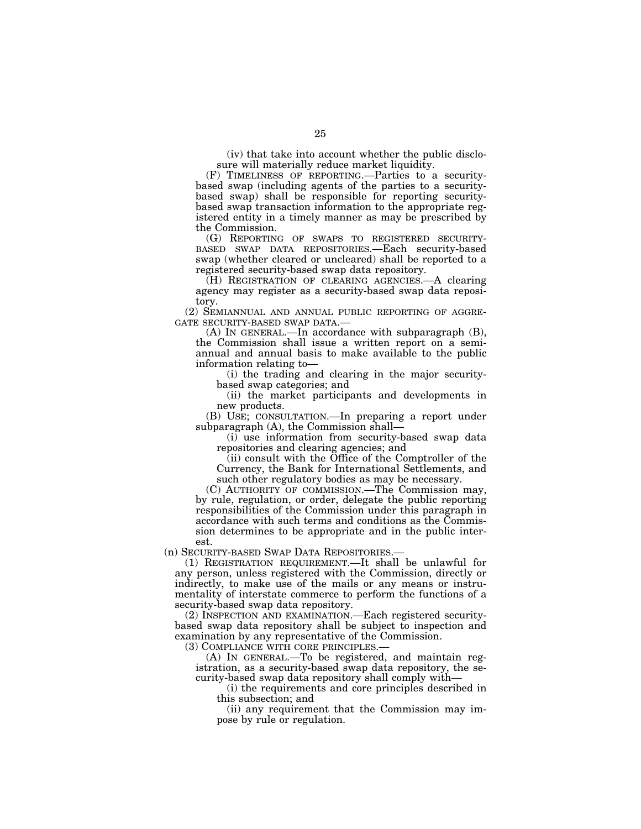(iv) that take into account whether the public disclosure will materially reduce market liquidity.

(F) TIMELINESS OF REPORTING.—Parties to a securitybased swap (including agents of the parties to a securitybased swap) shall be responsible for reporting securitybased swap transaction information to the appropriate registered entity in a timely manner as may be prescribed by the Commission.

(G) REPORTING OF SWAPS TO REGISTERED SECURITY- BASED SWAP DATA REPOSITORIES.—Each security-based swap (whether cleared or uncleared) shall be reported to a registered security-based swap data repository.

(H) REGISTRATION OF CLEARING AGENCIES.—A clearing agency may register as a security-based swap data repository.

(2) SEMIANNUAL AND ANNUAL PUBLIC REPORTING OF AGGRE-GATE SECURITY-BASED SWAP DATA.—

(A) IN GENERAL.—In accordance with subparagraph (B), the Commission shall issue a written report on a semiannual and annual basis to make available to the public information relating to—

(i) the trading and clearing in the major securitybased swap categories; and

(ii) the market participants and developments in new products.

(B) USE; CONSULTATION.—In preparing a report under subparagraph (A), the Commission shall—

(i) use information from security-based swap data repositories and clearing agencies; and

(ii) consult with the Office of the Comptroller of the Currency, the Bank for International Settlements, and such other regulatory bodies as may be necessary.

(C) AUTHORITY OF COMMISSION.—The Commission may, by rule, regulation, or order, delegate the public reporting responsibilities of the Commission under this paragraph in accordance with such terms and conditions as the Commission determines to be appropriate and in the public inter-

est.<br>(n) SECURITY-BASED SWAP DATA REPOSITORIES.-

(1) REGISTRATION REQUIREMENT.—It shall be unlawful for any person, unless registered with the Commission, directly or indirectly, to make use of the mails or any means or instrumentality of interstate commerce to perform the functions of a security-based swap data repository.

(2) INSPECTION AND EXAMINATION.—Each registered securitybased swap data repository shall be subject to inspection and examination by any representative of the Commission.

(3) COMPLIANCE WITH CORE PRINCIPLES.—

(A) IN GENERAL.—To be registered, and maintain registration, as a security-based swap data repository, the security-based swap data repository shall comply with—

(i) the requirements and core principles described in this subsection; and

(ii) any requirement that the Commission may impose by rule or regulation.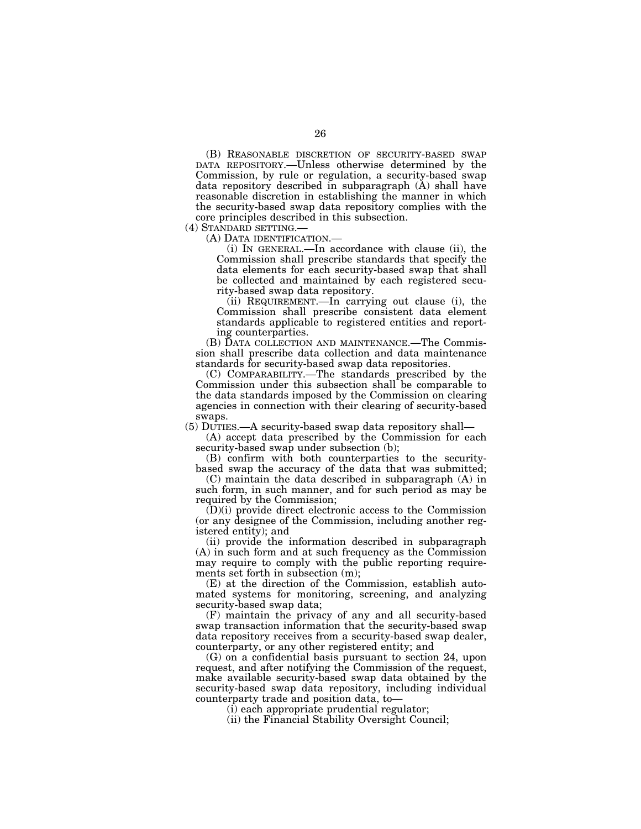(B) REASONABLE DISCRETION OF SECURITY-BASED SWAP DATA REPOSITORY.—Unless otherwise determined by the Commission, by rule or regulation, a security-based swap data repository described in subparagraph (A) shall have reasonable discretion in establishing the manner in which the security-based swap data repository complies with the core principles described in this subsection.<br>(4) STANDARD SETTING.—

(A) DATA IDENTIFICATION.—<br>(i) IN GENERAL.—In accordance with clause (ii), the Commission shall prescribe standards that specify the data elements for each security-based swap that shall be collected and maintained by each registered security-based swap data repository.

(ii) REQUIREMENT.—In carrying out clause (i), the Commission shall prescribe consistent data element standards applicable to registered entities and reporting counterparties.

(B) DATA COLLECTION AND MAINTENANCE.—The Commission shall prescribe data collection and data maintenance standards for security-based swap data repositories.

(C) COMPARABILITY.—The standards prescribed by the Commission under this subsection shall be comparable to the data standards imposed by the Commission on clearing agencies in connection with their clearing of security-based swaps.

(5) DUTIES.—A security-based swap data repository shall—

(A) accept data prescribed by the Commission for each security-based swap under subsection (b);

(B) confirm with both counterparties to the securitybased swap the accuracy of the data that was submitted;

(C) maintain the data described in subparagraph (A) in such form, in such manner, and for such period as may be required by the Commission;

(D)(i) provide direct electronic access to the Commission (or any designee of the Commission, including another registered entity); and

(ii) provide the information described in subparagraph (A) in such form and at such frequency as the Commission may require to comply with the public reporting requirements set forth in subsection (m);

(E) at the direction of the Commission, establish automated systems for monitoring, screening, and analyzing security-based swap data;

(F) maintain the privacy of any and all security-based swap transaction information that the security-based swap data repository receives from a security-based swap dealer, counterparty, or any other registered entity; and

(G) on a confidential basis pursuant to section 24, upon request, and after notifying the Commission of the request, make available security-based swap data obtained by the security-based swap data repository, including individual counterparty trade and position data, to—

(i) each appropriate prudential regulator;

(ii) the Financial Stability Oversight Council;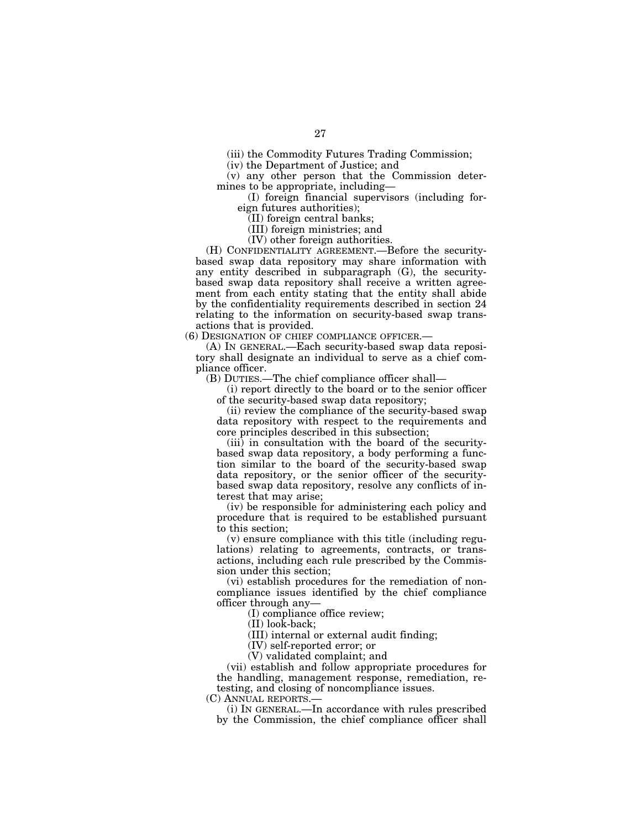(iii) the Commodity Futures Trading Commission;

(iv) the Department of Justice; and

(v) any other person that the Commission determines to be appropriate, including—

(I) foreign financial supervisors (including foreign futures authorities);

(II) foreign central banks;

(III) foreign ministries; and

(IV) other foreign authorities.

(H) CONFIDENTIALITY AGREEMENT.—Before the securitybased swap data repository may share information with any entity described in subparagraph (G), the securitybased swap data repository shall receive a written agreement from each entity stating that the entity shall abide by the confidentiality requirements described in section 24 relating to the information on security-based swap transactions that is provided.

(6) DESIGNATION OF CHIEF COMPLIANCE OFFICER.—

(A) IN GENERAL.—Each security-based swap data repository shall designate an individual to serve as a chief compliance officer.

(B) DUTIES.—The chief compliance officer shall—

(i) report directly to the board or to the senior officer of the security-based swap data repository;

(ii) review the compliance of the security-based swap data repository with respect to the requirements and core principles described in this subsection;

(iii) in consultation with the board of the securitybased swap data repository, a body performing a function similar to the board of the security-based swap data repository, or the senior officer of the securitybased swap data repository, resolve any conflicts of interest that may arise;

(iv) be responsible for administering each policy and procedure that is required to be established pursuant to this section;

(v) ensure compliance with this title (including regulations) relating to agreements, contracts, or transactions, including each rule prescribed by the Commission under this section;

(vi) establish procedures for the remediation of noncompliance issues identified by the chief compliance officer through any—

(I) compliance office review;

(II) look-back;

(III) internal or external audit finding;

(IV) self-reported error; or

(V) validated complaint; and

(vii) establish and follow appropriate procedures for the handling, management response, remediation, retesting, and closing of noncompliance issues.

(C) ANNUAL REPORTS.—

(i) IN GENERAL.—In accordance with rules prescribed by the Commission, the chief compliance officer shall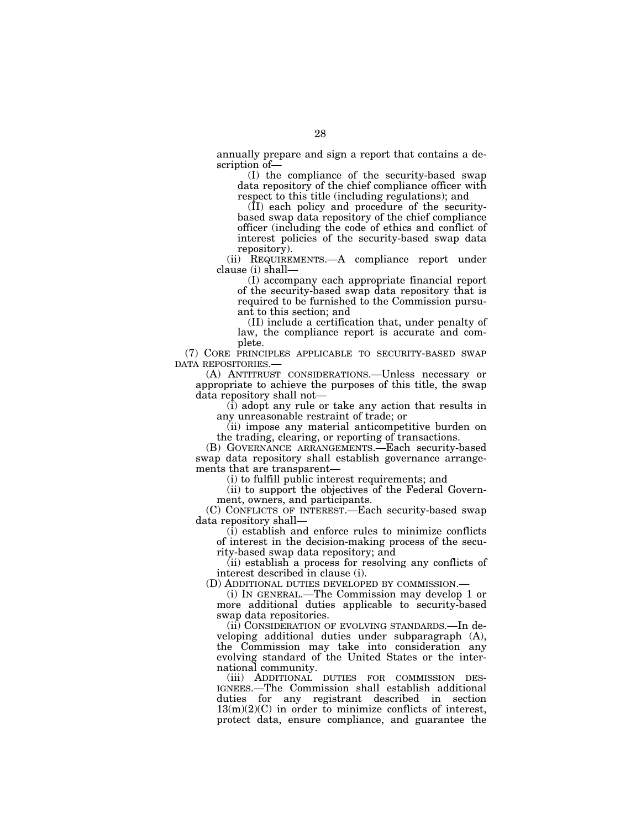annually prepare and sign a report that contains a description of—

(I) the compliance of the security-based swap data repository of the chief compliance officer with respect to this title (including regulations); and

(II) each policy and procedure of the securitybased swap data repository of the chief compliance officer (including the code of ethics and conflict of interest policies of the security-based swap data repository).

(ii) REQUIREMENTS.—A compliance report under clause (i) shall—

(I) accompany each appropriate financial report of the security-based swap data repository that is required to be furnished to the Commission pursuant to this section; and

(II) include a certification that, under penalty of law, the compliance report is accurate and complete.

(7) CORE PRINCIPLES APPLICABLE TO SECURITY-BASED SWAP

(A) ANTITRUST CONSIDERATIONS.—Unless necessary or appropriate to achieve the purposes of this title, the swap data repository shall not—

(i) adopt any rule or take any action that results in any unreasonable restraint of trade; or

(ii) impose any material anticompetitive burden on the trading, clearing, or reporting of transactions.

(B) GOVERNANCE ARRANGEMENTS.—Each security-based swap data repository shall establish governance arrangements that are transparent—

(i) to fulfill public interest requirements; and

(ii) to support the objectives of the Federal Government, owners, and participants.

(C) CONFLICTS OF INTEREST.—Each security-based swap data repository shall—

(i) establish and enforce rules to minimize conflicts of interest in the decision-making process of the security-based swap data repository; and

(ii) establish a process for resolving any conflicts of interest described in clause (i).

(D) ADDITIONAL DUTIES DEVELOPED BY COMMISSION.—

(i) IN GENERAL.—The Commission may develop 1 or more additional duties applicable to security-based swap data repositories.

(ii) CONSIDERATION OF EVOLVING STANDARDS.—In developing additional duties under subparagraph (A), the Commission may take into consideration any evolving standard of the United States or the international community.<br>
(iii) ADDITIONAL DUTIES FOR COMMISSION DES-

IGNEES.—The Commission shall establish additional duties for any registrant described in section  $13(m)(2)(C)$  in order to minimize conflicts of interest, protect data, ensure compliance, and guarantee the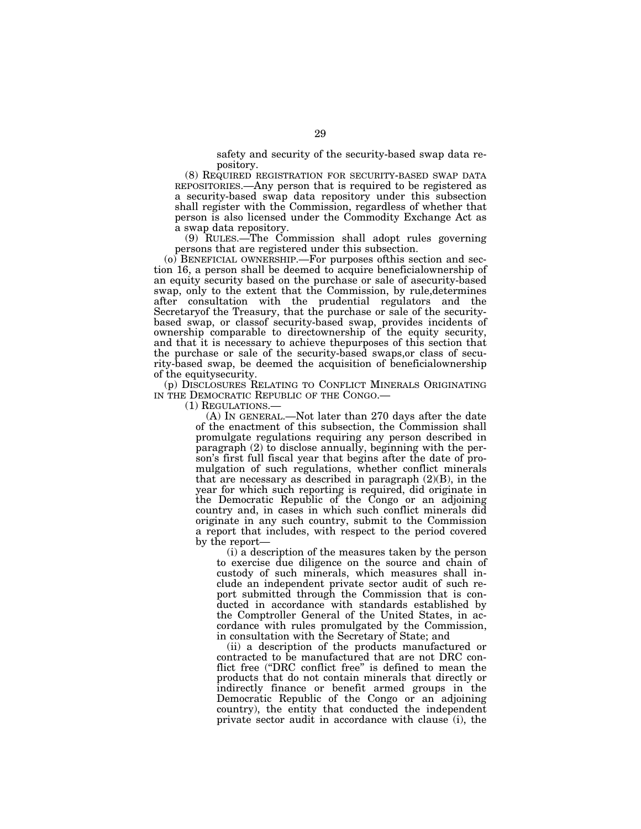safety and security of the security-based swap data repository.

(8) REQUIRED REGISTRATION FOR SECURITY-BASED SWAP DATA REPOSITORIES.—Any person that is required to be registered as a security-based swap data repository under this subsection shall register with the Commission, regardless of whether that person is also licensed under the Commodity Exchange Act as a swap data repository.

(9) RULES.—The Commission shall adopt rules governing persons that are registered under this subsection.

(o) BENEFICIAL OWNERSHIP.—For purposes ofthis section and section 16, a person shall be deemed to acquire beneficialownership of an equity security based on the purchase or sale of asecurity-based swap, only to the extent that the Commission, by rule,determines after consultation with the prudential regulators and the Secretaryof the Treasury, that the purchase or sale of the securitybased swap, or classof security-based swap, provides incidents of ownership comparable to directownership of the equity security, and that it is necessary to achieve thepurposes of this section that the purchase or sale of the security-based swaps,or class of security-based swap, be deemed the acquisition of beneficialownership of the equitysecurity.

(p) DISCLOSURES RELATING TO CONFLICT MINERALS ORIGINATING IN THE DEMOCRATIC REPUBLIC OF THE CONGO.—

(1) REGULATIONS.—<br>(A) IN GENERAL.—Not later than 270 days after the date of the enactment of this subsection, the Commission shall promulgate regulations requiring any person described in paragraph (2) to disclose annually, beginning with the person's first full fiscal year that begins after the date of promulgation of such regulations, whether conflict minerals that are necessary as described in paragraph (2)(B), in the year for which such reporting is required, did originate in the Democratic Republic of the Congo or an adjoining country and, in cases in which such conflict minerals did originate in any such country, submit to the Commission a report that includes, with respect to the period covered by the report—

(i) a description of the measures taken by the person to exercise due diligence on the source and chain of custody of such minerals, which measures shall include an independent private sector audit of such report submitted through the Commission that is conducted in accordance with standards established by the Comptroller General of the United States, in accordance with rules promulgated by the Commission, in consultation with the Secretary of State; and

(ii) a description of the products manufactured or contracted to be manufactured that are not DRC conflict free (''DRC conflict free'' is defined to mean the products that do not contain minerals that directly or indirectly finance or benefit armed groups in the Democratic Republic of the Congo or an adjoining country), the entity that conducted the independent private sector audit in accordance with clause (i), the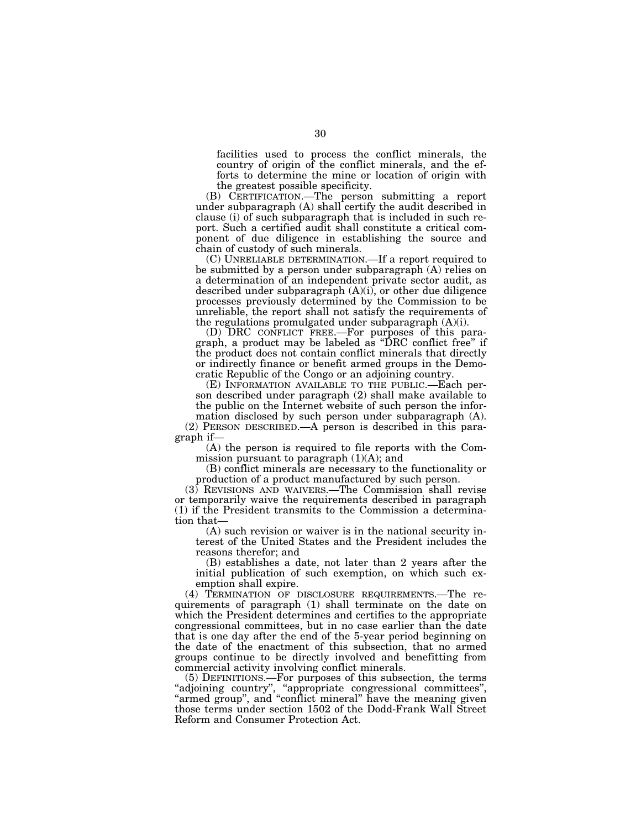facilities used to process the conflict minerals, the country of origin of the conflict minerals, and the efforts to determine the mine or location of origin with the greatest possible specificity.

(B) CERTIFICATION.—The person submitting a report under subparagraph (A) shall certify the audit described in clause (i) of such subparagraph that is included in such report. Such a certified audit shall constitute a critical component of due diligence in establishing the source and chain of custody of such minerals.

(C) UNRELIABLE DETERMINATION.—If a report required to be submitted by a person under subparagraph (A) relies on a determination of an independent private sector audit, as described under subparagraph (A)(i), or other due diligence processes previously determined by the Commission to be unreliable, the report shall not satisfy the requirements of the regulations promulgated under subparagraph  $(A)(i)$ .

(D) DRC CONFLICT FREE.—For purposes of this paragraph, a product may be labeled as ''DRC conflict free'' if the product does not contain conflict minerals that directly or indirectly finance or benefit armed groups in the Democratic Republic of the Congo or an adjoining country.

(E) INFORMATION AVAILABLE TO THE PUBLIC.—Each person described under paragraph (2) shall make available to the public on the Internet website of such person the information disclosed by such person under subparagraph (A).

(2) PERSON DESCRIBED.—A person is described in this paragraph if—

(A) the person is required to file reports with the Commission pursuant to paragraph  $(1)(A)$ ; and

(B) conflict minerals are necessary to the functionality or production of a product manufactured by such person.

(3) REVISIONS AND WAIVERS.—The Commission shall revise or temporarily waive the requirements described in paragraph (1) if the President transmits to the Commission a determination that—

(A) such revision or waiver is in the national security interest of the United States and the President includes the reasons therefor; and

(B) establishes a date, not later than 2 years after the initial publication of such exemption, on which such exemption shall expire.

(4) TERMINATION OF DISCLOSURE REQUIREMENTS.—The requirements of paragraph (1) shall terminate on the date on which the President determines and certifies to the appropriate congressional committees, but in no case earlier than the date that is one day after the end of the 5-year period beginning on the date of the enactment of this subsection, that no armed groups continue to be directly involved and benefitting from commercial activity involving conflict minerals.

(5) DEFINITIONS.—For purposes of this subsection, the terms "adjoining country", "appropriate congressional committees", "armed group", and "conflict mineral" have the meaning given those terms under section 1502 of the Dodd-Frank Wall Street Reform and Consumer Protection Act.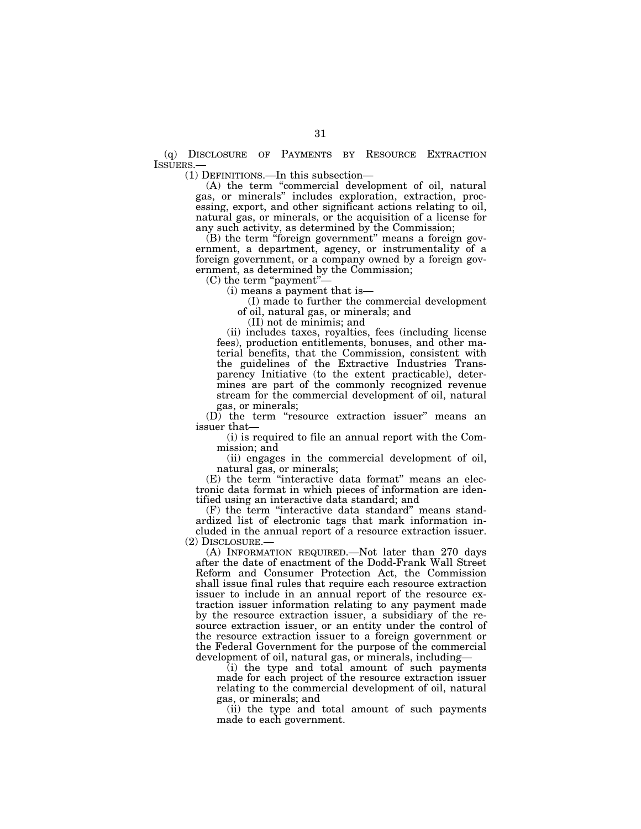(q) DISCLOSURE OF PAYMENTS BY RESOURCE EXTRACTION ISSUERS.—

(1) DEFINITIONS.—In this subsection—

(A) the term ''commercial development of oil, natural gas, or minerals'' includes exploration, extraction, processing, export, and other significant actions relating to oil, natural gas, or minerals, or the acquisition of a license for any such activity, as determined by the Commission;

(B) the term ''foreign government'' means a foreign government, a department, agency, or instrumentality of a foreign government, or a company owned by a foreign government, as determined by the Commission;

 $(C)$  the term "payment"-

(i) means a payment that is—

(I) made to further the commercial development of oil, natural gas, or minerals; and

(II) not de minimis; and

(ii) includes taxes, royalties, fees (including license fees), production entitlements, bonuses, and other material benefits, that the Commission, consistent with the guidelines of the Extractive Industries Transparency Initiative (to the extent practicable), determines are part of the commonly recognized revenue stream for the commercial development of oil, natural gas, or minerals;

(D) the term ''resource extraction issuer'' means an issuer that—

(i) is required to file an annual report with the Commission; and

(ii) engages in the commercial development of oil, natural gas, or minerals;

 $(E)$  the term "interactive data format" means an electronic data format in which pieces of information are identified using an interactive data standard; and

(F) the term ''interactive data standard'' means standardized list of electronic tags that mark information included in the annual report of a resource extraction issuer.<br>(2)  $\text{DISCLOSURE}$ —

(A) INFORMATION REQUIRED.—Not later than 270 days after the date of enactment of the Dodd-Frank Wall Street Reform and Consumer Protection Act, the Commission shall issue final rules that require each resource extraction issuer to include in an annual report of the resource extraction issuer information relating to any payment made by the resource extraction issuer, a subsidiary of the resource extraction issuer, or an entity under the control of the resource extraction issuer to a foreign government or the Federal Government for the purpose of the commercial development of oil, natural gas, or minerals, including—

(i) the type and total amount of such payments made for each project of the resource extraction issuer relating to the commercial development of oil, natural gas, or minerals; and

(ii) the type and total amount of such payments made to each government.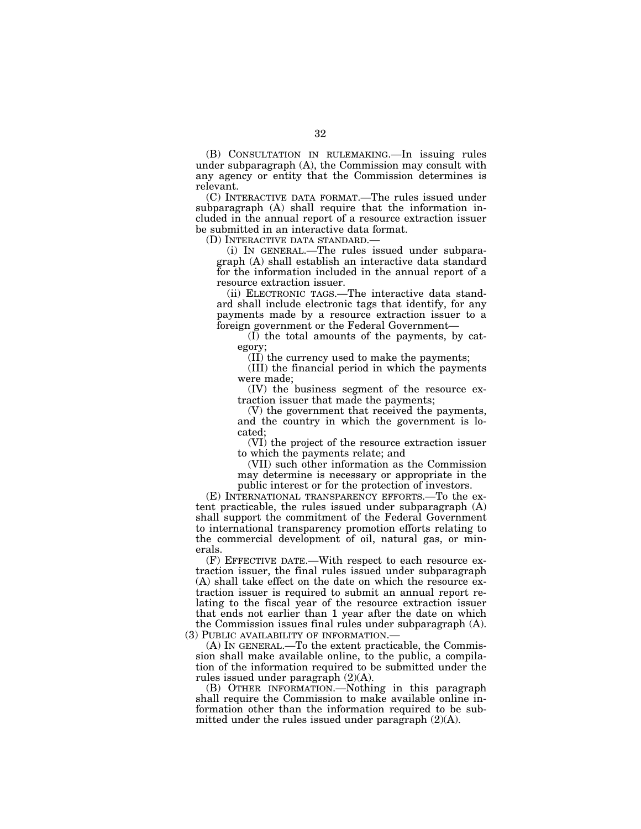(B) CONSULTATION IN RULEMAKING.—In issuing rules under subparagraph (A), the Commission may consult with any agency or entity that the Commission determines is relevant.

(C) INTERACTIVE DATA FORMAT.—The rules issued under subparagraph (A) shall require that the information included in the annual report of a resource extraction issuer be submitted in an interactive data format.

(D) INTERACTIVE DATA STANDARD.—

(i) IN GENERAL.—The rules issued under subparagraph (A) shall establish an interactive data standard for the information included in the annual report of a resource extraction issuer.

(ii) ELECTRONIC TAGS.—The interactive data standard shall include electronic tags that identify, for any payments made by a resource extraction issuer to a foreign government or the Federal Government—

(I) the total amounts of the payments, by category;

(II) the currency used to make the payments;

(III) the financial period in which the payments were made;

(IV) the business segment of the resource extraction issuer that made the payments;

(V) the government that received the payments, and the country in which the government is located;

(VI) the project of the resource extraction issuer to which the payments relate; and

(VII) such other information as the Commission may determine is necessary or appropriate in the public interest or for the protection of investors.

(E) INTERNATIONAL TRANSPARENCY EFFORTS.—To the extent practicable, the rules issued under subparagraph (A) shall support the commitment of the Federal Government to international transparency promotion efforts relating to the commercial development of oil, natural gas, or minerals.

(F) EFFECTIVE DATE.—With respect to each resource extraction issuer, the final rules issued under subparagraph (A) shall take effect on the date on which the resource extraction issuer is required to submit an annual report relating to the fiscal year of the resource extraction issuer that ends not earlier than 1 year after the date on which the Commission issues final rules under subparagraph (A). (3) PUBLIC AVAILABILITY OF INFORMATION.—

(A) IN GENERAL.—To the extent practicable, the Commission shall make available online, to the public, a compilation of the information required to be submitted under the rules issued under paragraph (2)(A).

(B) OTHER INFORMATION.—Nothing in this paragraph shall require the Commission to make available online information other than the information required to be submitted under the rules issued under paragraph (2)(A).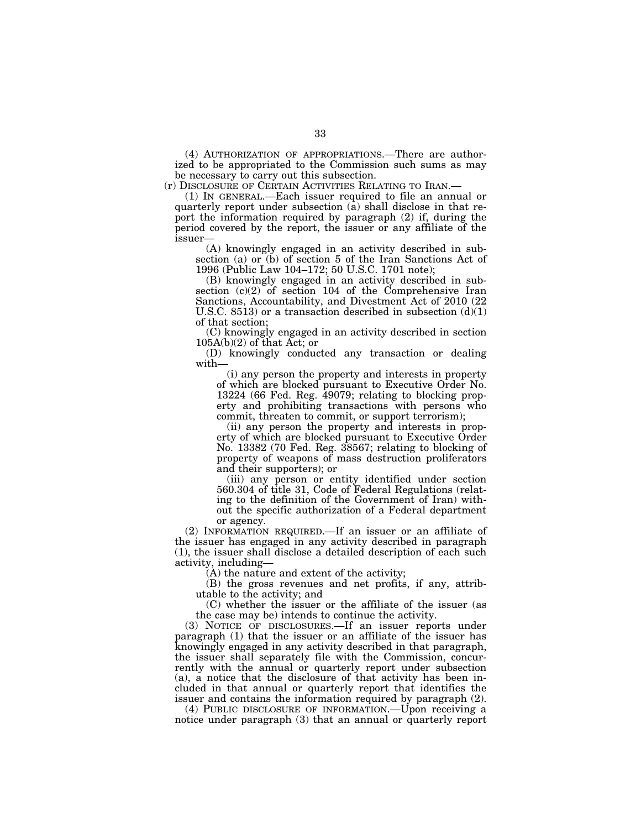(4) AUTHORIZATION OF APPROPRIATIONS.—There are authorized to be appropriated to the Commission such sums as may be necessary to carry out this subsection.<br>(r) DISCLOSURE OF CERTAIN ACTIVITIES RELATING TO IRAN.—

 $(1)$  In GENERAL.—Each issuer required to file an annual or quarterly report under subsection (a) shall disclose in that report the information required by paragraph (2) if, during the period covered by the report, the issuer or any affiliate of the issuer—

(A) knowingly engaged in an activity described in subsection (a) or (b) of section 5 of the Iran Sanctions Act of 1996 (Public Law 104–172; 50 U.S.C. 1701 note);

(B) knowingly engaged in an activity described in subsection  $(c)(2)$  of section 104 of the Comprehensive Iran Sanctions, Accountability, and Divestment Act of 2010 (22 U.S.C. 8513) or a transaction described in subsection  $(d)(1)$ of that section;

(C) knowingly engaged in an activity described in section  $105A(b)(2)$  of that Act; or

(D) knowingly conducted any transaction or dealing with—

(i) any person the property and interests in property of which are blocked pursuant to Executive Order No. 13224 (66 Fed. Reg. 49079; relating to blocking property and prohibiting transactions with persons who commit, threaten to commit, or support terrorism);

(ii) any person the property and interests in property of which are blocked pursuant to Executive Order No. 13382 (70 Fed. Reg. 38567; relating to blocking of property of weapons of mass destruction proliferators and their supporters); or

(iii) any person or entity identified under section 560.304 of title 31, Code of Federal Regulations (relating to the definition of the Government of Iran) without the specific authorization of a Federal department or agency.

(2) INFORMATION REQUIRED.—If an issuer or an affiliate of the issuer has engaged in any activity described in paragraph (1), the issuer shall disclose a detailed description of each such activity, including—

(A) the nature and extent of the activity;

(B) the gross revenues and net profits, if any, attributable to the activity; and

(C) whether the issuer or the affiliate of the issuer (as the case may be) intends to continue the activity.

(3) NOTICE OF DISCLOSURES.—If an issuer reports under paragraph (1) that the issuer or an affiliate of the issuer has knowingly engaged in any activity described in that paragraph, the issuer shall separately file with the Commission, concurrently with the annual or quarterly report under subsection (a), a notice that the disclosure of that activity has been included in that annual or quarterly report that identifies the issuer and contains the information required by paragraph (2).

(4) PUBLIC DISCLOSURE OF INFORMATION.—Upon receiving a notice under paragraph (3) that an annual or quarterly report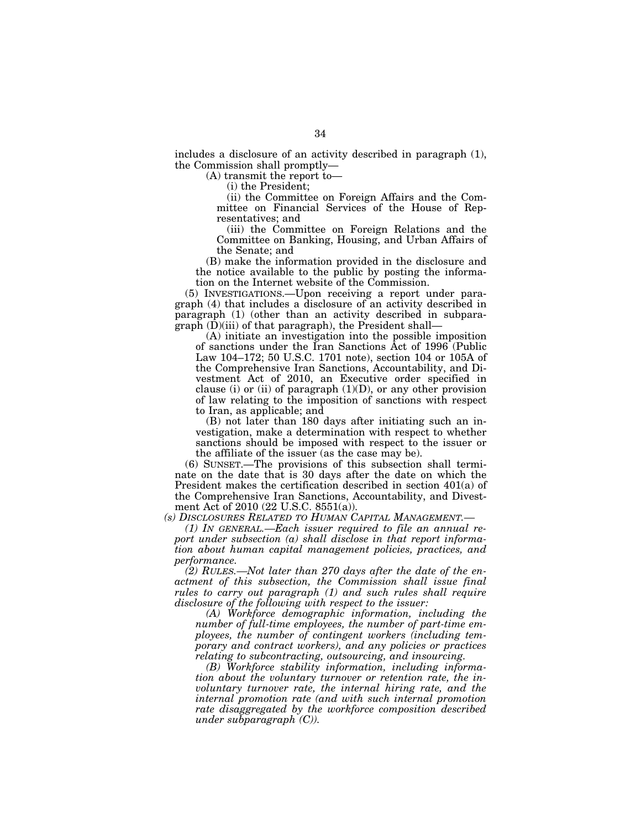includes a disclosure of an activity described in paragraph (1), the Commission shall promptly—

(A) transmit the report to—

(i) the President;

(ii) the Committee on Foreign Affairs and the Committee on Financial Services of the House of Representatives; and

(iii) the Committee on Foreign Relations and the Committee on Banking, Housing, and Urban Affairs of the Senate; and

(B) make the information provided in the disclosure and the notice available to the public by posting the information on the Internet website of the Commission.

(5) INVESTIGATIONS.—Upon receiving a report under paragraph (4) that includes a disclosure of an activity described in paragraph (1) (other than an activity described in subparagraph (D)(iii) of that paragraph), the President shall—

(A) initiate an investigation into the possible imposition of sanctions under the Iran Sanctions Act of 1996 (Public Law 104–172; 50 U.S.C. 1701 note), section 104 or 105A of the Comprehensive Iran Sanctions, Accountability, and Divestment Act of 2010, an Executive order specified in clause (i) or (ii) of paragraph  $(1)(D)$ , or any other provision of law relating to the imposition of sanctions with respect to Iran, as applicable; and

(B) not later than 180 days after initiating such an investigation, make a determination with respect to whether sanctions should be imposed with respect to the issuer or the affiliate of the issuer (as the case may be).

(6) SUNSET.—The provisions of this subsection shall terminate on the date that is 30 days after the date on which the President makes the certification described in section 401(a) of the Comprehensive Iran Sanctions, Accountability, and Divestment Act of 2010 (22 U.S.C. 8551(a)).

*(s) DISCLOSURES RELATED TO HUMAN CAPITAL MANAGEMENT.—* 

*(1) IN GENERAL.—Each issuer required to file an annual report under subsection (a) shall disclose in that report information about human capital management policies, practices, and performance.* 

*(2) RULES.—Not later than 270 days after the date of the enactment of this subsection, the Commission shall issue final rules to carry out paragraph (1) and such rules shall require disclosure of the following with respect to the issuer:* 

*(A) Workforce demographic information, including the number of full-time employees, the number of part-time employees, the number of contingent workers (including temporary and contract workers), and any policies or practices relating to subcontracting, outsourcing, and insourcing.* 

*(B) Workforce stability information, including information about the voluntary turnover or retention rate, the involuntary turnover rate, the internal hiring rate, and the internal promotion rate (and with such internal promotion rate disaggregated by the workforce composition described under subparagraph (C)).*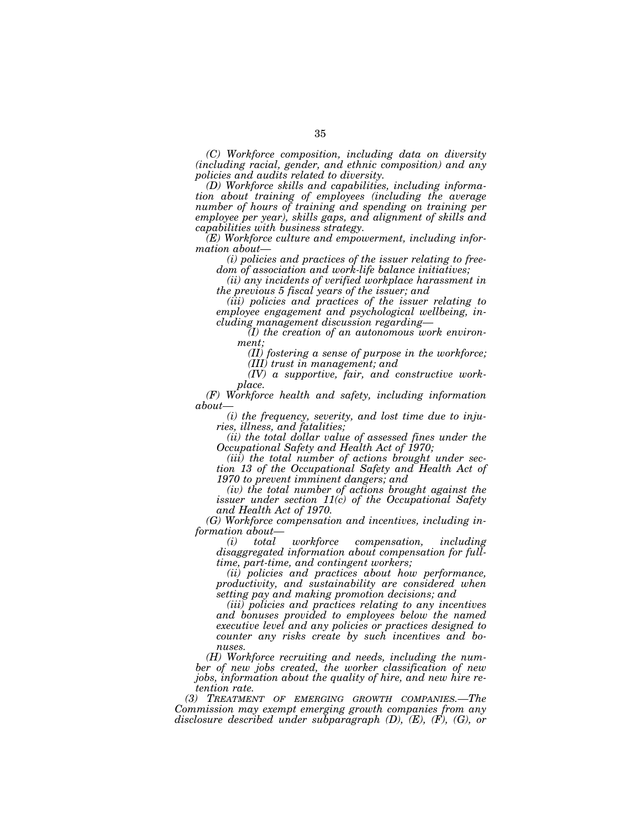*(C) Workforce composition, including data on diversity (including racial, gender, and ethnic composition) and any policies and audits related to diversity.* 

*(D) Workforce skills and capabilities, including information about training of employees (including the average number of hours of training and spending on training per employee per year), skills gaps, and alignment of skills and capabilities with business strategy.* 

*(E) Workforce culture and empowerment, including information about—* 

*(i) policies and practices of the issuer relating to freedom of association and work-life balance initiatives;* 

*(ii) any incidents of verified workplace harassment in the previous 5 fiscal years of the issuer; and* 

*(iii) policies and practices of the issuer relating to employee engagement and psychological wellbeing, including management discussion regarding—* 

*(I) the creation of an autonomous work environment;* 

*(II) fostering a sense of purpose in the workforce;* 

*(III) trust in management; and* 

*(IV) a supportive, fair, and constructive workplace.* 

*(F) Workforce health and safety, including information about—* 

*(i) the frequency, severity, and lost time due to injuries, illness, and fatalities;* 

*(ii) the total dollar value of assessed fines under the Occupational Safety and Health Act of 1970;* 

*(iii) the total number of actions brought under section 13 of the Occupational Safety and Health Act of 1970 to prevent imminent dangers; and* 

*(iv) the total number of actions brought against the issuer under section 11(c) of the Occupational Safety and Health Act of 1970.* 

*(G) Workforce compensation and incentives, including information about—* 

*(i) total workforce compensation, including disaggregated information about compensation for fulltime, part-time, and contingent workers;* 

*(ii) policies and practices about how performance, productivity, and sustainability are considered when setting pay and making promotion decisions; and* 

*(iii) policies and practices relating to any incentives and bonuses provided to employees below the named executive level and any policies or practices designed to counter any risks create by such incentives and bonuses.* 

*(H) Workforce recruiting and needs, including the number of new jobs created, the worker classification of new jobs, information about the quality of hire, and new hire retention rate.* 

*(3) TREATMENT OF EMERGING GROWTH COMPANIES.—The Commission may exempt emerging growth companies from any disclosure described under subparagraph (D), (E), (F), (G), or*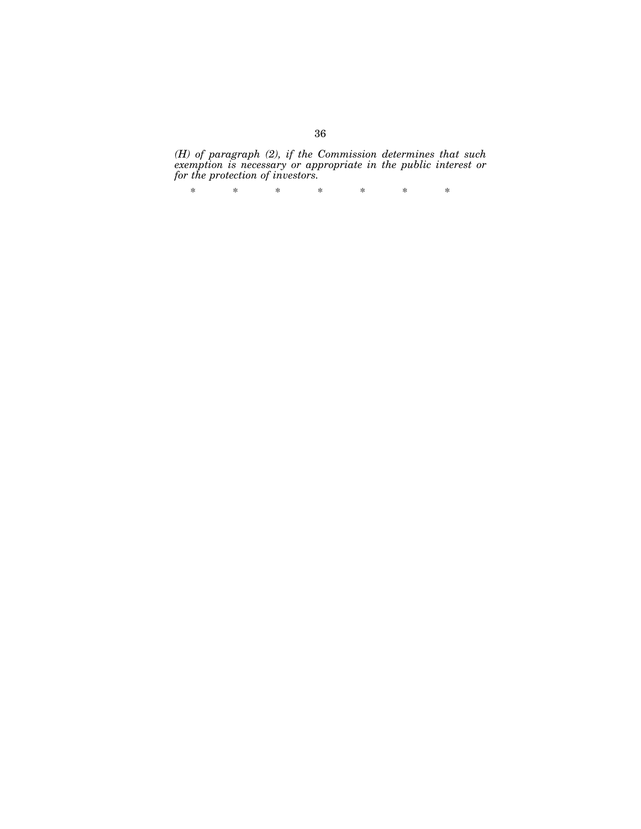*(H) of paragraph (2), if the Commission determines that such exemption is necessary or appropriate in the public interest or for the protection of investors.* 

\* \* \* \* \* \* \*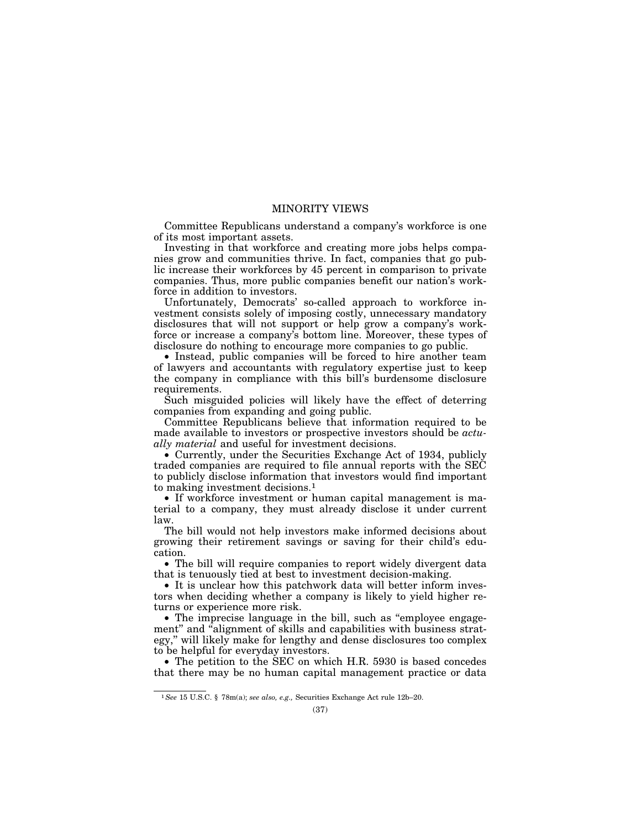## MINORITY VIEWS

Committee Republicans understand a company's workforce is one of its most important assets.

Investing in that workforce and creating more jobs helps companies grow and communities thrive. In fact, companies that go public increase their workforces by 45 percent in comparison to private companies. Thus, more public companies benefit our nation's workforce in addition to investors.

Unfortunately, Democrats' so-called approach to workforce investment consists solely of imposing costly, unnecessary mandatory disclosures that will not support or help grow a company's workforce or increase a company's bottom line. Moreover, these types of disclosure do nothing to encourage more companies to go public.

• Instead, public companies will be forced to hire another team of lawyers and accountants with regulatory expertise just to keep the company in compliance with this bill's burdensome disclosure requirements.

Such misguided policies will likely have the effect of deterring companies from expanding and going public.

Committee Republicans believe that information required to be made available to investors or prospective investors should be *actually material* and useful for investment decisions.

• Currently, under the Securities Exchange Act of 1934, publicly traded companies are required to file annual reports with the SEC to publicly disclose information that investors would find important to making investment decisions.<sup>1</sup>

• If workforce investment or human capital management is material to a company, they must already disclose it under current law.

The bill would not help investors make informed decisions about growing their retirement savings or saving for their child's education.

• The bill will require companies to report widely divergent data that is tenuously tied at best to investment decision-making.

• It is unclear how this patchwork data will better inform investors when deciding whether a company is likely to yield higher returns or experience more risk.

• The imprecise language in the bill, such as "employee engagement'' and ''alignment of skills and capabilities with business strategy,'' will likely make for lengthy and dense disclosures too complex to be helpful for everyday investors.

• The petition to the SEC on which H.R. 5930 is based concedes that there may be no human capital management practice or data

<sup>1</sup>*See* 15 U.S.C. § 78m(a); *see also, e.g.,* Securities Exchange Act rule 12b–20.